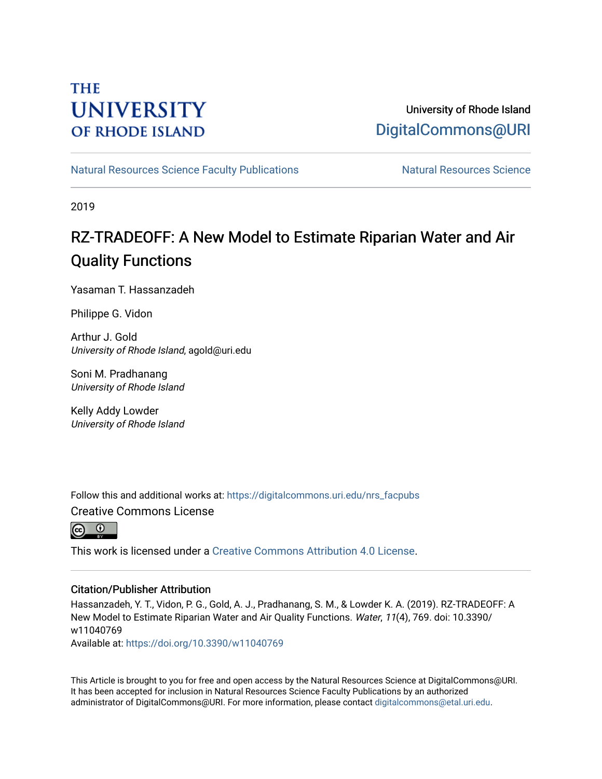## **THE UNIVERSITY OF RHODE ISLAND**

## University of Rhode Island [DigitalCommons@URI](https://digitalcommons.uri.edu/)

[Natural Resources Science Faculty Publications](https://digitalcommons.uri.edu/nrs_facpubs) Natural Resources Science

2019

## RZ-TRADEOFF: A New Model to Estimate Riparian Water and Air Quality Functions

Yasaman T. Hassanzadeh

Philippe G. Vidon

Arthur J. Gold University of Rhode Island, agold@uri.edu

Soni M. Pradhanang University of Rhode Island

Kelly Addy Lowder University of Rhode Island

Follow this and additional works at: [https://digitalcommons.uri.edu/nrs\\_facpubs](https://digitalcommons.uri.edu/nrs_facpubs?utm_source=digitalcommons.uri.edu%2Fnrs_facpubs%2F123&utm_medium=PDF&utm_campaign=PDFCoverPages)  Creative Commons License



This work is licensed under a [Creative Commons Attribution 4.0 License](https://creativecommons.org/licenses/by/4.0/).

## Citation/Publisher Attribution

Hassanzadeh, Y. T., Vidon, P. G., Gold, A. J., Pradhanang, S. M., & Lowder K. A. (2019). RZ-TRADEOFF: A New Model to Estimate Riparian Water and Air Quality Functions. Water, 11(4), 769. doi: 10.3390/ w11040769

Available at:<https://doi.org/10.3390/w11040769>

This Article is brought to you for free and open access by the Natural Resources Science at DigitalCommons@URI. It has been accepted for inclusion in Natural Resources Science Faculty Publications by an authorized administrator of DigitalCommons@URI. For more information, please contact [digitalcommons@etal.uri.edu.](mailto:digitalcommons@etal.uri.edu)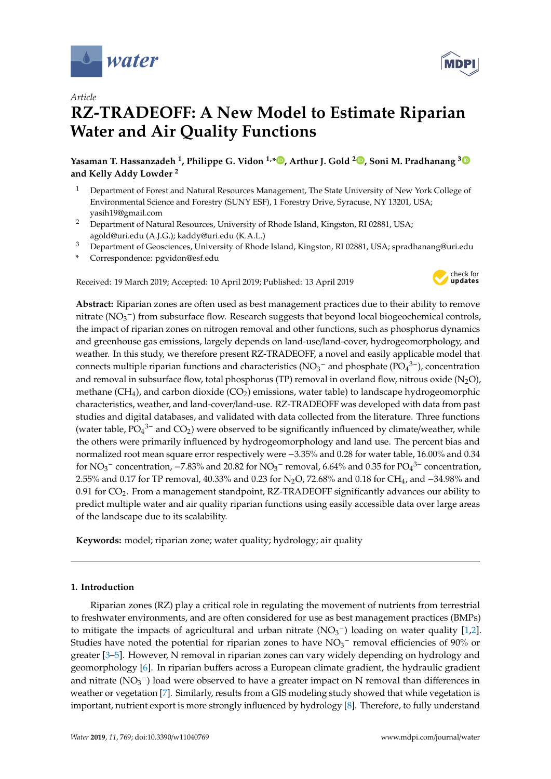

*Article*

# **RZ-TRADEOFF: A New Model to Estimate Riparian Water and Air Quality Functions**

**Yasaman T. Hassanzadeh <sup>1</sup> , Philippe G. Vidon 1,\* [,](https://orcid.org/0000-0001-7470-843X) Arthur J. Gold <sup>2</sup> [,](https://orcid.org/0000-0002-0290-1377) Soni M. Pradhanang [3](https://orcid.org/0000-0002-1142-9457) and Kelly Addy Lowder <sup>2</sup>**

- <sup>1</sup> Department of Forest and Natural Resources Management, The State University of New York College of Environmental Science and Forestry (SUNY ESF), 1 Forestry Drive, Syracuse, NY 13201, USA; yasih19@gmail.com
- <sup>2</sup> Department of Natural Resources, University of Rhode Island, Kingston, RI 02881, USA; agold@uri.edu (A.J.G.); kaddy@uri.edu (K.A.L.)
- <sup>3</sup> Department of Geosciences, University of Rhode Island, Kingston, RI 02881, USA; spradhanang@uri.edu
- **\*** Correspondence: pgvidon@esf.edu

Received: 19 March 2019; Accepted: 10 April 2019; Published: 13 April 2019



**Abstract:** Riparian zones are often used as best management practices due to their ability to remove nitrate (NO<sub>3</sub><sup>-</sup>) from subsurface flow. Research suggests that beyond local biogeochemical controls, the impact of riparian zones on nitrogen removal and other functions, such as phosphorus dynamics and greenhouse gas emissions, largely depends on land-use/land-cover, hydrogeomorphology, and weather. In this study, we therefore present RZ-TRADEOFF, a novel and easily applicable model that connects multiple riparian functions and characteristics (NO<sub>3</sub><sup>-</sup> and phosphate (PO<sub>4</sub><sup>3-</sup>), concentration and removal in subsurface flow, total phosphorus (TP) removal in overland flow, nitrous oxide (N<sub>2</sub>O), methane  $(CH_4)$ , and carbon dioxide  $(CO_2)$  emissions, water table) to landscape hydrogeomorphic characteristics, weather, and land-cover/land-use. RZ-TRADEOFF was developed with data from past studies and digital databases, and validated with data collected from the literature. Three functions (water table,  $\overline{PO_4}^{3-}$  and  $\overline{CO_2}$ ) were observed to be significantly influenced by climate/weather, while the others were primarily influenced by hydrogeomorphology and land use. The percent bias and normalized root mean square error respectively were −3.35% and 0.28 for water table, 16.00% and 0.34 for  $NO_3^-$  concentration, -7.83% and 20.82 for  $NO_3^-$  removal, 6.64% and 0.35 for  $PO_4^{3-}$  concentration, 2.55% and 0.17 for TP removal, 40.33% and 0.23 for N2O, 72.68% and 0.18 for CH4, and −34.98% and 0.91 for  $CO<sub>2</sub>$ . From a management standpoint, RZ-TRADEOFF significantly advances our ability to predict multiple water and air quality riparian functions using easily accessible data over large areas of the landscape due to its scalability.

**Keywords:** model; riparian zone; water quality; hydrology; air quality

## **1. Introduction**

Riparian zones (RZ) play a critical role in regulating the movement of nutrients from terrestrial to freshwater environments, and are often considered for use as best management practices (BMPs) to mitigate the impacts of agricultural and urban nitrate ( $NO<sub>3</sub><sup>-</sup>$ ) loading on water quality [\[1,](#page-14-0)[2\]](#page-14-1). Studies have noted the potential for riparian zones to have  $NO<sub>3</sub><sup>-</sup>$  removal efficiencies of 90% or greater [\[3–](#page-14-2)[5\]](#page-14-3). However, N removal in riparian zones can vary widely depending on hydrology and geomorphology [\[6\]](#page-14-4). In riparian buffers across a European climate gradient, the hydraulic gradient and nitrate ( $NO<sub>3</sub><sup>-</sup>$ ) load were observed to have a greater impact on N removal than differences in weather or vegetation [\[7\]](#page-15-0). Similarly, results from a GIS modeling study showed that while vegetation is important, nutrient export is more strongly influenced by hydrology [\[8\]](#page-15-1). Therefore, to fully understand

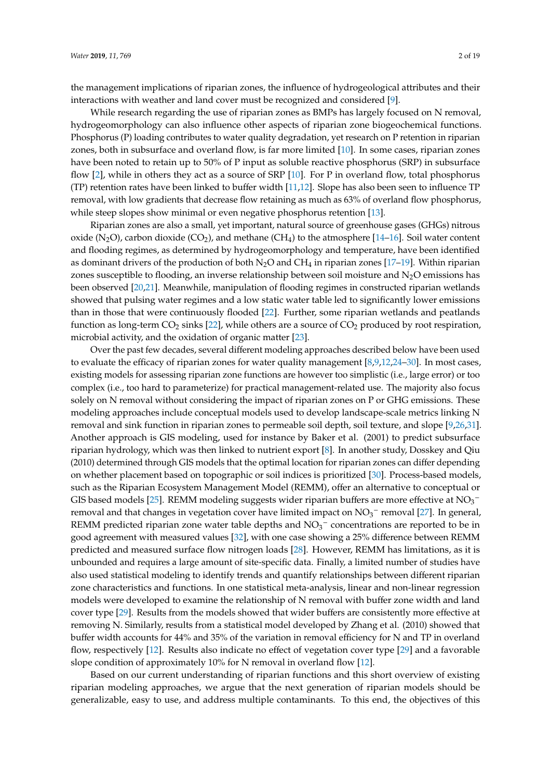the management implications of riparian zones, the influence of hydrogeological attributes and their interactions with weather and land cover must be recognized and considered [\[9\]](#page-15-2).

While research regarding the use of riparian zones as BMPs has largely focused on N removal, hydrogeomorphology can also influence other aspects of riparian zone biogeochemical functions. Phosphorus (P) loading contributes to water quality degradation, yet research on P retention in riparian zones, both in subsurface and overland flow, is far more limited [\[10\]](#page-15-3). In some cases, riparian zones have been noted to retain up to 50% of P input as soluble reactive phosphorus (SRP) in subsurface flow [\[2\]](#page-14-1), while in others they act as a source of SRP [\[10\]](#page-15-3). For P in overland flow, total phosphorus (TP) retention rates have been linked to buffer width [\[11](#page-15-4)[,12\]](#page-15-5). Slope has also been seen to influence TP removal, with low gradients that decrease flow retaining as much as 63% of overland flow phosphorus, while steep slopes show minimal or even negative phosphorus retention [\[13\]](#page-15-6).

Riparian zones are also a small, yet important, natural source of greenhouse gases (GHGs) nitrous oxide (N<sub>2</sub>O), carbon dioxide (CO<sub>2</sub>), and methane (CH<sub>4</sub>) to the atmosphere [\[14–](#page-15-7)[16\]](#page-15-8). Soil water content and flooding regimes, as determined by hydrogeomorphology and temperature, have been identified as dominant drivers of the production of both  $N_2O$  and CH<sub>4</sub> in riparian zones [\[17](#page-15-9)[–19\]](#page-15-10). Within riparian zones susceptible to flooding, an inverse relationship between soil moisture and  $N_2O$  emissions has been observed [\[20](#page-15-11)[,21\]](#page-15-12). Meanwhile, manipulation of flooding regimes in constructed riparian wetlands showed that pulsing water regimes and a low static water table led to significantly lower emissions than in those that were continuously flooded [\[22\]](#page-15-13). Further, some riparian wetlands and peatlands function as long-term  $CO_2$  sinks [\[22\]](#page-15-13), while others are a source of  $CO_2$  produced by root respiration, microbial activity, and the oxidation of organic matter [\[23\]](#page-15-14).

Over the past few decades, several different modeling approaches described below have been used to evaluate the efficacy of riparian zones for water quality management [\[8,](#page-15-1)[9,](#page-15-2)[12,](#page-15-5)[24–](#page-15-15)[30\]](#page-16-0). In most cases, existing models for assessing riparian zone functions are however too simplistic (i.e., large error) or too complex (i.e., too hard to parameterize) for practical management-related use. The majority also focus solely on N removal without considering the impact of riparian zones on P or GHG emissions. These modeling approaches include conceptual models used to develop landscape-scale metrics linking N removal and sink function in riparian zones to permeable soil depth, soil texture, and slope [\[9,](#page-15-2)[26,](#page-15-16)[31\]](#page-16-1). Another approach is GIS modeling, used for instance by Baker et al. (2001) to predict subsurface riparian hydrology, which was then linked to nutrient export [\[8\]](#page-15-1). In another study, Dosskey and Qiu (2010) determined through GIS models that the optimal location for riparian zones can differ depending on whether placement based on topographic or soil indices is prioritized [\[30\]](#page-16-0). Process-based models, such as the Riparian Ecosystem Management Model (REMM), offer an alternative to conceptual or GIS based models [\[25\]](#page-15-17). REMM modeling suggests wider riparian buffers are more effective at  $NO_3^$ removal and that changes in vegetation cover have limited impact on  $NO<sub>3</sub><sup>-</sup>$  removal [\[27\]](#page-15-18). In general, REMM predicted riparian zone water table depths and  $NO<sub>3</sub><sup>-</sup>$  concentrations are reported to be in good agreement with measured values [\[32\]](#page-16-2), with one case showing a 25% difference between REMM predicted and measured surface flow nitrogen loads [\[28\]](#page-15-19). However, REMM has limitations, as it is unbounded and requires a large amount of site-specific data. Finally, a limited number of studies have also used statistical modeling to identify trends and quantify relationships between different riparian zone characteristics and functions. In one statistical meta-analysis, linear and non-linear regression models were developed to examine the relationship of N removal with buffer zone width and land cover type [\[29\]](#page-15-20). Results from the models showed that wider buffers are consistently more effective at removing N. Similarly, results from a statistical model developed by Zhang et al. (2010) showed that buffer width accounts for 44% and 35% of the variation in removal efficiency for N and TP in overland flow, respectively [\[12\]](#page-15-5). Results also indicate no effect of vegetation cover type [\[29\]](#page-15-20) and a favorable slope condition of approximately 10% for N removal in overland flow [\[12\]](#page-15-5).

Based on our current understanding of riparian functions and this short overview of existing riparian modeling approaches, we argue that the next generation of riparian models should be generalizable, easy to use, and address multiple contaminants. To this end, the objectives of this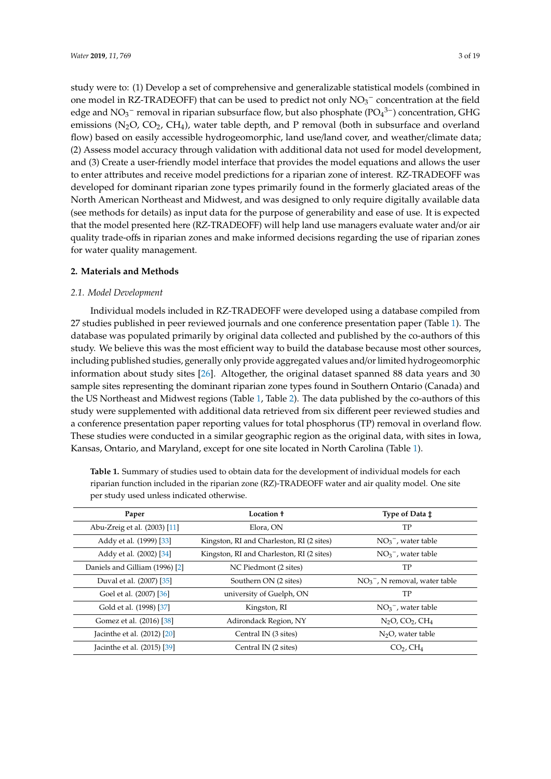study were to: (1) Develop a set of comprehensive and generalizable statistical models (combined in one model in RZ-TRADEOFF) that can be used to predict not only  $NO<sub>3</sub><sup>-</sup>$  concentration at the field edge and  $NO_3^-$  removal in riparian subsurface flow, but also phosphate ( $PO_4^{3-}$ ) concentration, GHG emissions ( $N_2O$ ,  $CO_2$ ,  $CH_4$ ), water table depth, and P removal (both in subsurface and overland flow) based on easily accessible hydrogeomorphic, land use/land cover, and weather/climate data; (2) Assess model accuracy through validation with additional data not used for model development, and (3) Create a user-friendly model interface that provides the model equations and allows the user to enter attributes and receive model predictions for a riparian zone of interest. RZ-TRADEOFF was developed for dominant riparian zone types primarily found in the formerly glaciated areas of the North American Northeast and Midwest, and was designed to only require digitally available data (see methods for details) as input data for the purpose of generability and ease of use. It is expected that the model presented here (RZ-TRADEOFF) will help land use managers evaluate water and/or air quality trade-offs in riparian zones and make informed decisions regarding the use of riparian zones for water quality management.

### **2. Materials and Methods**

### *2.1. Model Development*

Individual models included in RZ-TRADEOFF were developed using a database compiled from 27 studies published in peer reviewed journals and one conference presentation paper (Table [1\)](#page-4-0). The database was populated primarily by original data collected and published by the co-authors of this study. We believe this was the most efficient way to build the database because most other sources, including published studies, generally only provide aggregated values and/or limited hydrogeomorphic information about study sites [\[26\]](#page-15-16). Altogether, the original dataset spanned 88 data years and 30 sample sites representing the dominant riparian zone types found in Southern Ontario (Canada) and the US Northeast and Midwest regions (Table [1,](#page-4-0) Table [2\)](#page-4-1). The data published by the co-authors of this study were supplemented with additional data retrieved from six different peer reviewed studies and a conference presentation paper reporting values for total phosphorus (TP) removal in overland flow. These studies were conducted in a similar geographic region as the original data, with sites in Iowa, Kansas, Ontario, and Maryland, except for one site located in North Carolina (Table [1\)](#page-4-0).

| Paper                          | Location +                                | Type of Data $\ddagger$           |
|--------------------------------|-------------------------------------------|-----------------------------------|
| Abu-Zreig et al. (2003) [11]   | Elora, ON                                 | TP                                |
| Addy et al. (1999) [33]        | Kingston, RI and Charleston, RI (2 sites) | $NO_3^-$ , water table            |
| Addy et al. (2002) [34]        | Kingston, RI and Charleston, RI (2 sites) | $NO3-$ , water table              |
| Daniels and Gilliam (1996) [2] | NC Piedmont (2 sites)                     | TP                                |
| Duval et al. (2007) [35]       | Southern ON (2 sites)                     | $NO3-$ , N removal, water table   |
| Goel et al. (2007) [36]        | university of Guelph, ON                  | TP                                |
| Gold et al. (1998) [37]        | Kingston, RI                              | $NO3-$ , water table              |
| Gomez et al. (2016) [38]       | Adirondack Region, NY                     | $N2O$ , $CO2$ , $CH4$             |
| Jacinthe et al. (2012) [20]    | Central IN (3 sites)                      | $N2O$ , water table               |
| Jacinthe et al. (2015) [39]    | Central IN (2 sites)                      | CO <sub>2</sub> , CH <sub>4</sub> |

**Table 1.** Summary of studies used to obtain data for the development of individual models for each riparian function included in the riparian zone (RZ)-TRADEOFF water and air quality model. One site per study used unless indicated otherwise.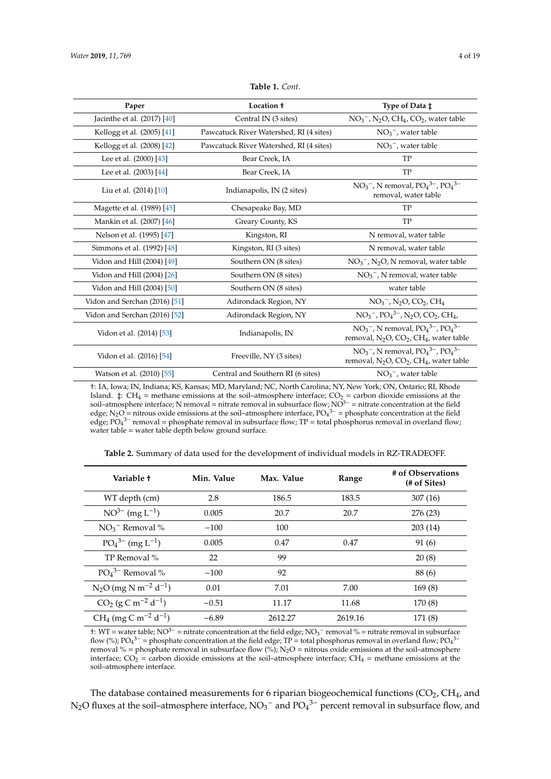<span id="page-4-0"></span>

| Paper                           | Location +                              | Type of Data ±                                                                           |
|---------------------------------|-----------------------------------------|------------------------------------------------------------------------------------------|
| Jacinthe et al. $(2017)$ $[40]$ | Central IN (3 sites)                    | $NO3-$ , N <sub>2</sub> O, CH <sub>4</sub> , CO <sub>2</sub> , water table               |
| Kellogg et al. (2005) [41]      | Pawcatuck River Watershed, RI (4 sites) | $NO3-$ , water table                                                                     |
| Kellogg et al. (2008) [42]      | Pawcatuck River Watershed, RI (4 sites) | $NO3-$ , water table                                                                     |
| Lee et al. (2000) [43]          | Bear Creek, IA                          | TP                                                                                       |
| Lee et al. (2003) [44]          | Bear Creek, IA                          | TP                                                                                       |
| Liu et al. (2014) [10]          | Indianapolis, IN (2 sites)              | $NO3-$ , N removal, $PO43-$ , $PO43-$<br>removal, water table                            |
| Magette et al. (1989) [45]      | Chesapeake Bay, MD                      | TP                                                                                       |
| Mankin et al. (2007) [46]       | Greary County, KS                       | TP                                                                                       |
| Nelson et al. (1995) [47]       | Kingston, RI                            | N removal, water table                                                                   |
| Simmons et al. (1992) [48]      | Kingston, RI (3 sites)                  | N removal, water table                                                                   |
| Vidon and Hill (2004) [49]      | Southern ON (8 sites)                   | $NO3-$ , N <sub>2</sub> O, N removal, water table                                        |
| Vidon and Hill (2004) [26]      | Southern ON (8 sites)                   | $NO3-$ , N removal, water table                                                          |
| Vidon and Hill (2004) [50]      | Southern ON (8 sites)                   | water table                                                                              |
| Vidon and Serchan (2016) [51]   | Adirondack Region, NY                   | $NO3-$ , N <sub>2</sub> O, CO <sub>2</sub> , CH <sub>4</sub>                             |
| Vidon and Serchan (2016) [52]   | Adirondack Region, NY                   | $NO3-$ , $PO43-$ , $N2O$ , $CO2$ , $CH4$ ,                                               |
| Vidon et al. (2014) [53]        | Indianapolis, IN                        | $NO3-$ , N removal, $PO43-$ , $PO43-$<br>removal, $N_2O$ , $CO_2$ , $CH_4$ , water table |
| Vidon et al. (2016) [54]        | Freeville, NY (3 sites)                 | $NO3-$ , N removal, $PO43-$ , $PO43-$<br>removal, $N_2O$ , $CO_2$ , $CH_4$ , water table |
| Watson et al. (2010) [55]       | Central and Southern RI (6 sites)       | $NO3-$ , water table                                                                     |

#### **Table 1.** *Cont*.

†: IA, Iowa; IN, Indiana; KS, Kansas; MD, Maryland; NC, North Carolina; NY, New York; ON, Ontario; RI, Rhode Island.  $\ddagger$ : CH<sub>4</sub> = methane emissions at the soil–atmosphere interface; CO<sub>2</sub> = carbon dioxide emissions at the soil–atmosphere interface; N removal = nitrate removal in subsurface flow; NO<sup>3−</sup> = nitrate concentration at the field edge; N<sub>2</sub>O = nitrous oxide emissions at the soil–atmosphere interface, PO<sub>4</sub><sup>3–</sup> = phosphate concentration at the field edge;  $PO_4^{3-}$  removal = phosphate removal in subsurface flow; TP = total phosphorus removal in overland flow; water table = water table depth below ground surface.

<span id="page-4-1"></span>

| Variable t                                     | Min. Value | Max. Value | Range   | # of Observations<br>(# of Sites) |
|------------------------------------------------|------------|------------|---------|-----------------------------------|
| WT depth (cm)                                  | 2.8        | 186.5      | 183.5   | 307(16)                           |
| $NO^{3-}$ (mg $L^{-1}$ )                       | 0.005      | 20.7       | 20.7    | 276 (23)                          |
| $NO3$ <sup>-</sup> Removal %                   | $-100$     | 100        |         | 203(14)                           |
| $PO_4^{3-}$ (mg L <sup>-1</sup> )              | 0.005      | 0.47       | 0.47    | 91 (6)                            |
| TP Removal %                                   | 22         | 99         |         | 20(8)                             |
| $PO4$ <sup>3-</sup> Removal %                  | $-100$     | 92         |         | 88(6)                             |
| $N_2O$ (mg N m <sup>-2</sup> d <sup>-1</sup> ) | 0.01       | 7.01       | 7.00    | 169(8)                            |
| $CO_2$ (g C m <sup>-2</sup> d <sup>-1</sup> )  | $-0.51$    | 11.17      | 11.68   | 170 (8)                           |
| $CH_4$ (mg C m <sup>-2</sup> d <sup>-1</sup> ) | $-6.89$    | 2612.27    | 2619.16 | 171 (8)                           |

**Table 2.** Summary of data used for the development of individual models in RZ-TRADEOFF.

†: WT = water table; NO<sup>3−</sup> = nitrate concentration at the field edge; NO<sub>3</sub><sup>−</sup> removal % = nitrate removal in subsurface flow (%); PO<sub>4</sub><sup>3-</sup> = phosphate concentration at the field edge; TP = total phosphorus removal in overland flow; PO<sub>4</sub><sup>3-</sup> removal % = phosphate removal in subsurface flow (%); N<sub>2</sub>O = nitrous oxide emissions at the soil-atmosphere interface;  $CO_2^1$  = carbon dioxide emissions at the soil–atmosphere interface;  $CH_4$  = methane emissions at the soil–atmosphere interface.

The database contained measurements for 6 riparian biogeochemical functions  $(CO<sub>2</sub>, CH<sub>4</sub>,$  and N<sub>2</sub>O fluxes at the soil–atmosphere interface, NO<sub>3</sub><sup>-</sup> and PO<sub>4</sub><sup>3-</sup> percent removal in subsurface flow, and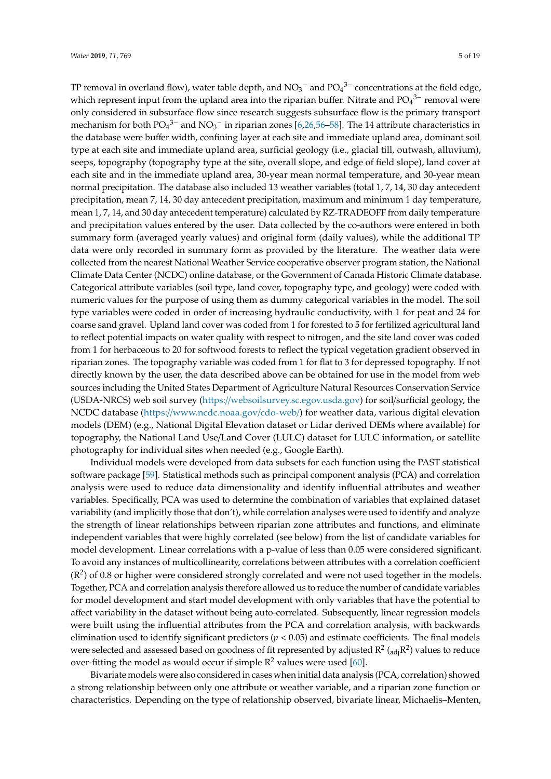TP removal in overland flow), water table depth, and  $\mathrm{NO_3}^-$  and  $\mathrm{PO_4}^{3-}$  concentrations at the field edge, which represent input from the upland area into the riparian buffer. Nitrate and  $PO<sub>4</sub><sup>3-</sup>$  removal were only considered in subsurface flow since research suggests subsurface flow is the primary transport mechanism for both  $PO_4^{3-}$  and  $NO_3^-$  in riparian zones [\[6,](#page-14-4)[26](#page-15-16)[,56](#page-17-4)[–58\]](#page-17-5). The 14 attribute characteristics in the database were buffer width, confining layer at each site and immediate upland area, dominant soil type at each site and immediate upland area, surficial geology (i.e., glacial till, outwash, alluvium), seeps, topography (topography type at the site, overall slope, and edge of field slope), land cover at each site and in the immediate upland area, 30-year mean normal temperature, and 30-year mean normal precipitation. The database also included 13 weather variables (total 1, 7, 14, 30 day antecedent precipitation, mean 7, 14, 30 day antecedent precipitation, maximum and minimum 1 day temperature, mean 1, 7, 14, and 30 day antecedent temperature) calculated by RZ-TRADEOFF from daily temperature and precipitation values entered by the user. Data collected by the co-authors were entered in both summary form (averaged yearly values) and original form (daily values), while the additional TP data were only recorded in summary form as provided by the literature. The weather data were collected from the nearest National Weather Service cooperative observer program station, the National Climate Data Center (NCDC) online database, or the Government of Canada Historic Climate database. Categorical attribute variables (soil type, land cover, topography type, and geology) were coded with numeric values for the purpose of using them as dummy categorical variables in the model. The soil type variables were coded in order of increasing hydraulic conductivity, with 1 for peat and 24 for coarse sand gravel. Upland land cover was coded from 1 for forested to 5 for fertilized agricultural land to reflect potential impacts on water quality with respect to nitrogen, and the site land cover was coded from 1 for herbaceous to 20 for softwood forests to reflect the typical vegetation gradient observed in riparian zones. The topography variable was coded from 1 for flat to 3 for depressed topography. If not directly known by the user, the data described above can be obtained for use in the model from web sources including the United States Department of Agriculture Natural Resources Conservation Service (USDA-NRCS) web soil survey (https://[websoilsurvey.sc.egov.usda.gov\)](https://websoilsurvey.sc.egov.usda.gov) for soil/surficial geology, the NCDC database (https://[www.ncdc.noaa.gov](https://www.ncdc.noaa.gov/cdo-web/)/cdo-web/) for weather data, various digital elevation models (DEM) (e.g., National Digital Elevation dataset or Lidar derived DEMs where available) for topography, the National Land Use/Land Cover (LULC) dataset for LULC information, or satellite photography for individual sites when needed (e.g., Google Earth).

Individual models were developed from data subsets for each function using the PAST statistical software package [\[59\]](#page-17-6). Statistical methods such as principal component analysis (PCA) and correlation analysis were used to reduce data dimensionality and identify influential attributes and weather variables. Specifically, PCA was used to determine the combination of variables that explained dataset variability (and implicitly those that don't), while correlation analyses were used to identify and analyze the strength of linear relationships between riparian zone attributes and functions, and eliminate independent variables that were highly correlated (see below) from the list of candidate variables for model development. Linear correlations with a p-value of less than 0.05 were considered significant. To avoid any instances of multicollinearity, correlations between attributes with a correlation coefficient  $(R<sup>2</sup>)$  of 0.8 or higher were considered strongly correlated and were not used together in the models. Together, PCA and correlation analysis therefore allowed us to reduce the number of candidate variables for model development and start model development with only variables that have the potential to affect variability in the dataset without being auto-correlated. Subsequently, linear regression models were built using the influential attributes from the PCA and correlation analysis, with backwards elimination used to identify significant predictors (*p* < 0.05) and estimate coefficients. The final models were selected and assessed based on goodness of fit represented by adjusted R<sup>2</sup> (<sub>adj</sub>R<sup>2</sup>) values to reduce over-fitting the model as would occur if simple  $\mathbb{R}^2$  values were used [\[60\]](#page-17-7).

Bivariate models were also considered in cases when initial data analysis (PCA, correlation) showed a strong relationship between only one attribute or weather variable, and a riparian zone function or characteristics. Depending on the type of relationship observed, bivariate linear, Michaelis–Menten,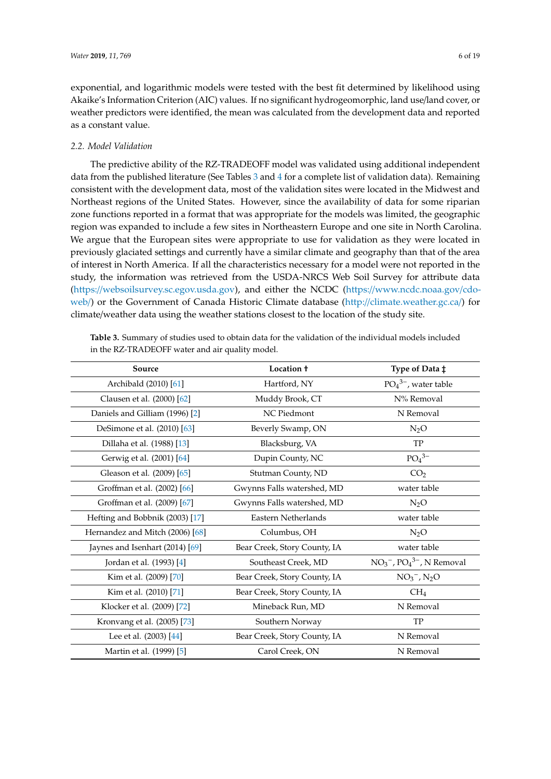exponential, and logarithmic models were tested with the best fit determined by likelihood using Akaike's Information Criterion (AIC) values. If no significant hydrogeomorphic, land use/land cover, or weather predictors were identified, the mean was calculated from the development data and reported as a constant value.

## *2.2. Model Validation*

The predictive ability of the RZ-TRADEOFF model was validated using additional independent data from the published literature (See Tables [3](#page-7-0) and [4](#page-7-1) for a complete list of validation data). Remaining consistent with the development data, most of the validation sites were located in the Midwest and Northeast regions of the United States. However, since the availability of data for some riparian zone functions reported in a format that was appropriate for the models was limited, the geographic region was expanded to include a few sites in Northeastern Europe and one site in North Carolina. We argue that the European sites were appropriate to use for validation as they were located in previously glaciated settings and currently have a similar climate and geography than that of the area of interest in North America. If all the characteristics necessary for a model were not reported in the study, the information was retrieved from the USDA-NRCS Web Soil Survey for attribute data (https://[websoilsurvey.sc.egov.usda.gov\)](https://websoilsurvey.sc.egov.usda.gov), and either the NCDC (https://[www.ncdc.noaa.gov](https://www.ncdc.noaa.gov/cdo-web/)/cdo[web](https://www.ncdc.noaa.gov/cdo-web/)/) or the Government of Canada Historic Climate database (http://[climate.weather.gc.ca](http://climate.weather.gc.ca/)/) for climate/weather data using the weather stations closest to the location of the study site.

| Source                          | Location +                   | Type of Data $\ddagger$  |
|---------------------------------|------------------------------|--------------------------|
| Archibald (2010) [61]           | Hartford, NY                 | $PO43-$ , water table    |
| Clausen et al. (2000) [62]      | Muddy Brook, CT              | N% Removal               |
| Daniels and Gilliam (1996) [2]  | NC Piedmont                  | N Removal                |
| DeSimone et al. (2010) [63]     | Beverly Swamp, ON            | $N_2O$                   |
| Dillaha et al. (1988) [13]      | Blacksburg, VA               | <b>TP</b>                |
| Gerwig et al. (2001) [64]       | Dupin County, NC             | $PO4$ <sup>3-</sup>      |
| Gleason et al. (2009) [65]      | Stutman County, ND           | CO <sub>2</sub>          |
| Groffman et al. (2002) [66]     | Gwynns Falls watershed, MD   | water table              |
| Groffman et al. (2009) [67]     | Gwynns Falls watershed, MD   | $N_2O$                   |
| Hefting and Bobbnik (2003) [17] | Eastern Netherlands          | water table              |
| Hernandez and Mitch (2006) [68] | Columbus, OH                 | $N_2O$                   |
| Jaynes and Isenhart (2014) [69] | Bear Creek, Story County, IA | water table              |
| Jordan et al. (1993) [4]        | Southeast Creek, MD          | $NO3-, PO43-, N Removal$ |
| Kim et al. (2009) [70]          | Bear Creek, Story County, IA | $NO_3^-$ , $N_2O$        |
| Kim et al. (2010) [71]          | Bear Creek, Story County, IA | CH <sub>4</sub>          |
| Klocker et al. (2009) [72]      | Mineback Run, MD             | N Removal                |
| Kronvang et al. (2005) [73]     | Southern Norway              | TP                       |
| Lee et al. (2003) [44]          | Bear Creek, Story County, IA | N Removal                |
| Martin et al. (1999) [5]        | Carol Creek, ON              | N Removal                |

**Table 3.** Summary of studies used to obtain data for the validation of the individual models included in the RZ-TRADEOFF water and air quality model.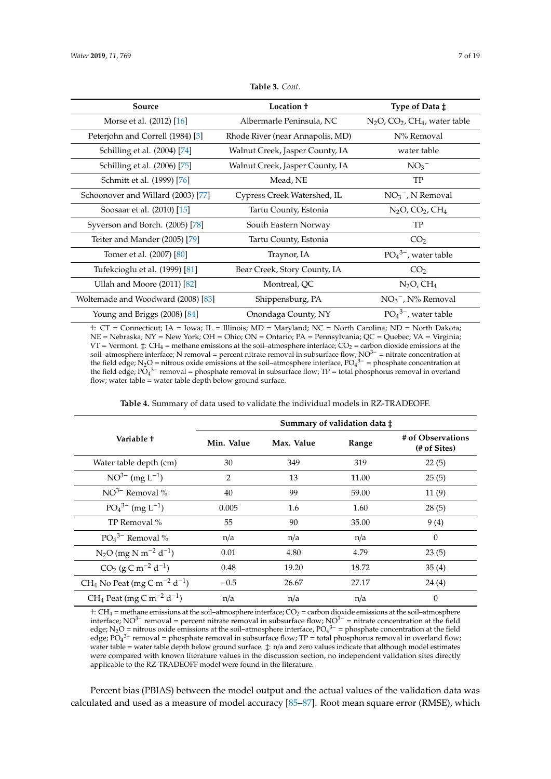<span id="page-7-0"></span>

| Source                             | Location +                       | Type of Data $\ddagger$                |
|------------------------------------|----------------------------------|----------------------------------------|
| Morse et al. (2012) [16]           | Albermarle Peninsula, NC         | $N_2O$ , $CO_2$ , $CH_4$ , water table |
| Peterjohn and Correll (1984) [3]   | Rhode River (near Annapolis, MD) | N% Removal                             |
| Schilling et al. (2004) [74]       | Walnut Creek, Jasper County, IA  | water table                            |
| Schilling et al. (2006) [75]       | Walnut Creek, Jasper County, IA  | $NO3$ <sup>-</sup>                     |
| Schmitt et al. (1999) [76]         | Mead, NE                         | TP                                     |
| Schoonover and Willard (2003) [77] | Cypress Creek Watershed, IL      | $NO_3^-$ , N Removal                   |
| Soosaar et al. (2010) [15]         | Tartu County, Estonia            | $N_2O$ , $CO_2$ , $CH_4$               |
| Syverson and Borch. (2005) [78]    | South Eastern Norway             | TP                                     |
| Teiter and Mander (2005) [79]      | Tartu County, Estonia            | CO <sub>2</sub>                        |
| Tomer et al. (2007) [80]           | Traynor, IA                      | $PO43-$ , water table                  |
| Tufekcioglu et al. (1999) [81]     | Bear Creek, Story County, IA     | CO <sub>2</sub>                        |
| Ullah and Moore (2011) [82]        | Montreal, QC                     | $N2O$ , $CH4$                          |
| Woltemade and Woodward (2008) [83] | Shippensburg, PA                 | $NO3-$ , N% Removal                    |
| Young and Briggs (2008) [84]       | Onondaga County, NY              | $PO43-$ , water table                  |

**Table 3.** *Cont*.

†: CT = Connecticut; IA = Iowa; IL = Illinois; MD = Maryland; NC = North Carolina; ND = North Dakota; NE = Nebraska; NY = New York; OH = Ohio; ON = Ontario; PA = Pennsylvania; QC = Quebec; VA = Virginia; VT = Vermont.  $\ddagger$ : CH<sub>4</sub> = methane emissions at the soil–atmosphere interface; CO<sub>2</sub> = carbon dioxide emissions at the soil–atmosphere interface; N removal = percent nitrate removal in subsurface flow; NO3<sup>−</sup> = nitrate concentration at the field edge; N<sub>2</sub>O = nitrous oxide emissions at the soil–atmosphere interface,  $PO_4^{3-}$  = phosphate concentration at the field edge;  $\overline{PO_4}^{3-}$  removal = phosphate removal in subsurface flow; TP = total phosphorus removal in overland flow; water table = water table depth below ground surface.

| <b>Table 4.</b> Summary of data used to validate the individual models in RZ-TRADEOFF. |
|----------------------------------------------------------------------------------------|
|----------------------------------------------------------------------------------------|

<span id="page-7-1"></span>

|                                                                 | Summary of validation data ‡ |            |       |                                   |
|-----------------------------------------------------------------|------------------------------|------------|-------|-----------------------------------|
| Variable +                                                      | Min. Value                   | Max. Value | Range | # of Observations<br>(# of Sites) |
| Water table depth (cm)                                          | 30                           | 349        | 319   | 22(5)                             |
| $NO^{3-}$ (mg L <sup>-1</sup> )                                 | 2                            | 13         | 11.00 | 25(5)                             |
| $NO^{3-}$ Removal %                                             | 40                           | 99         | 59.00 | 11(9)                             |
| $PO_4^{3-}$ (mg L <sup>-1</sup> )                               | 0.005                        | 1.6        | 1.60  | 28(5)                             |
| TP Removal %                                                    | 55                           | 90         | 35.00 | 9(4)                              |
| $PO4$ <sup>3-</sup> Removal %                                   | n/a                          | n/a        | n/a   | 0                                 |
| $N_2O$ (mg N m <sup>-2</sup> d <sup>-1</sup> )                  | 0.01                         | 4.80       | 4.79  | 23(5)                             |
| $CO2$ (g C m <sup>-2</sup> d <sup>-1</sup> )                    | 0.48                         | 19.20      | 18.72 | 35(4)                             |
| CH <sub>4</sub> No Peat (mg C m <sup>-2</sup> d <sup>-1</sup> ) | $-0.5$                       | 26.67      | 27.17 | 24 (4)                            |
| CH <sub>4</sub> Peat (mg C m <sup>-2</sup> d <sup>-1</sup> )    | n/a                          | n/a        | n/a   | 0                                 |

 $\dagger$ : CH<sub>4</sub> = methane emissions at the soil–atmosphere interface; CO<sub>2</sub> = carbon dioxide emissions at the soil–atmosphere interface;  $NO^{3-}$  removal = percent nitrate removal in subsurface flow;  $NO^{3-}$  = nitrate concentration at the field edge; N<sub>2</sub>O = nitrous oxide emissions at the soil–atmosphere interface, PO<sub>4</sub><sup>3–</sup> = phosphate concentration at the field  $\frac{1}{2}$ edge; PO<sub>4</sub><sup>3–</sup> removal = phosphate removal in subsurface flow; TP = total phosphorus removal in overland flow; water table = water table depth below ground surface.  $\ddagger$ : n/a and zero values indicate that although model estimates were compared with known literature values in the discussion section, no independent validation sites directly applicable to the RZ-TRADEOFF model were found in the literature.

Percent bias (PBIAS) between the model output and the actual values of the validation data was calculated and used as a measure of model accuracy [\[85–](#page-18-9)[87\]](#page-18-10). Root mean square error (RMSE), which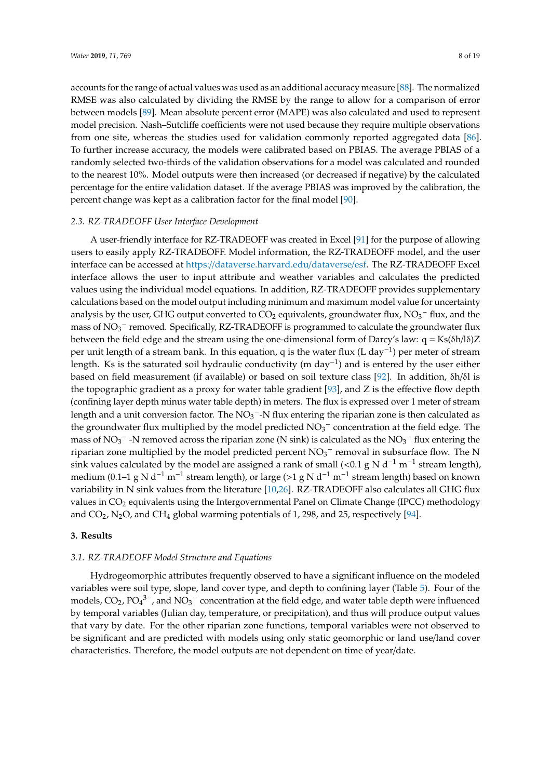accounts for the range of actual values was used as an additional accuracy measure [\[88\]](#page-18-11). The normalized RMSE was also calculated by dividing the RMSE by the range to allow for a comparison of error between models [\[89\]](#page-18-12). Mean absolute percent error (MAPE) was also calculated and used to represent model precision. Nash–Sutcliffe coefficients were not used because they require multiple observations from one site, whereas the studies used for validation commonly reported aggregated data [\[86\]](#page-18-13). To further increase accuracy, the models were calibrated based on PBIAS. The average PBIAS of a randomly selected two-thirds of the validation observations for a model was calculated and rounded to the nearest 10%. Model outputs were then increased (or decreased if negative) by the calculated percentage for the entire validation dataset. If the average PBIAS was improved by the calibration, the percent change was kept as a calibration factor for the final model [\[90\]](#page-18-14).

#### *2.3. RZ-TRADEOFF User Interface Development*

A user-friendly interface for RZ-TRADEOFF was created in Excel [\[91\]](#page-18-15) for the purpose of allowing users to easily apply RZ-TRADEOFF. Model information, the RZ-TRADEOFF model, and the user interface can be accessed at https://[dataverse.harvard.edu](https://dataverse.harvard.edu/dataverse/esf)/dataverse/esf. The RZ-TRADEOFF Excel interface allows the user to input attribute and weather variables and calculates the predicted values using the individual model equations. In addition, RZ-TRADEOFF provides supplementary calculations based on the model output including minimum and maximum model value for uncertainty analysis by the user, GHG output converted to  $CO<sub>2</sub>$  equivalents, groundwater flux, NO<sub>3</sub><sup>-</sup> flux, and the mass of NO<sub>3</sub><sup>-</sup> removed. Specifically, RZ-TRADEOFF is programmed to calculate the groundwater flux between the field edge and the stream using the one-dimensional form of Darcy's law:  $q = Ks(\delta h/\delta)Z$ per unit length of a stream bank. In this equation, q is the water flux (L day<sup>-1</sup>) per meter of stream length. Ks is the saturated soil hydraulic conductivity (m day−<sup>1</sup> ) and is entered by the user either based on field measurement (if available) or based on soil texture class [\[92\]](#page-18-16). In addition, δh/δl is the topographic gradient as a proxy for water table gradient [\[93\]](#page-18-17), and Z is the effective flow depth (confining layer depth minus water table depth) in meters. The flux is expressed over 1 meter of stream length and a unit conversion factor. The  $\overline{NO_3}^-$ -N flux entering the riparian zone is then calculated as the groundwater flux multiplied by the model predicted  $NO<sub>3</sub><sup>-</sup>$  concentration at the field edge. The mass of NO<sub>3</sub><sup>−</sup> -N removed across the riparian zone (N sink) is calculated as the NO<sub>3</sub><sup>−</sup> flux entering the riparian zone multiplied by the model predicted percent  $NO_3^-$  removal in subsurface flow. The N sink values calculated by the model are assigned a rank of small (<0.1 g N d<sup>-1</sup> m<sup>-1</sup> stream length), medium (0.1–1 g N d<sup>-1</sup> m<sup>-1</sup> stream length), or large (>1 g N d<sup>-1</sup> m<sup>-1</sup> stream length) based on known variability in N sink values from the literature [\[10](#page-15-3)[,26\]](#page-15-16). RZ-TRADEOFF also calculates all GHG flux values in CO<sub>2</sub> equivalents using the Intergovernmental Panel on Climate Change (IPCC) methodology and  $CO<sub>2</sub>$ , N<sub>2</sub>O, and CH<sub>4</sub> global warming potentials of 1, 298, and 25, respectively [\[94\]](#page-18-18).

#### **3. Results**

#### *3.1. RZ-TRADEOFF Model Structure and Equations*

Hydrogeomorphic attributes frequently observed to have a significant influence on the modeled variables were soil type, slope, land cover type, and depth to confining layer (Table [5\)](#page-9-0). Four of the models,  $CO_2$ ,  $PO_4^{3-}$ , and  $NO_3^-$  concentration at the field edge, and water table depth were influenced by temporal variables (Julian day, temperature, or precipitation), and thus will produce output values that vary by date. For the other riparian zone functions, temporal variables were not observed to be significant and are predicted with models using only static geomorphic or land use/land cover characteristics. Therefore, the model outputs are not dependent on time of year/date.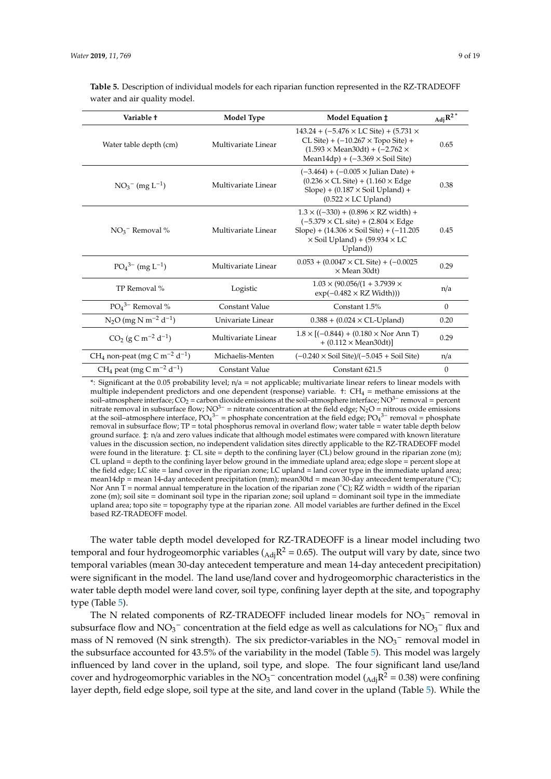<span id="page-9-0"></span>

|                              | <b>Table 5.</b> Description of individual models for each riparian function represented in the RZ-TRADEOFF |
|------------------------------|------------------------------------------------------------------------------------------------------------|
| water and air quality model. |                                                                                                            |

| Variable t                                                       | <b>Model Type</b>   | Model Equation $\ddagger$                                                                                                                                                                                                     | $_{\rm Adj}R^{2\,*}$ |
|------------------------------------------------------------------|---------------------|-------------------------------------------------------------------------------------------------------------------------------------------------------------------------------------------------------------------------------|----------------------|
| Water table depth (cm)                                           | Multivariate Linear | $143.24 + (-5.476 \times LC$ Site) + $(5.731 \times$<br>$CL$ Site) + $(-10.267 \times$ Topo Site) +<br>$(1.593 \times \text{Mean30dt}) + (-2.762 \times$<br>Mean14dp) + $(-3.369 \times$ Soil Site)                           | 0.65                 |
| $NO_3^-$ (mg $L^{-1}$ )                                          | Multivariate Linear | $(-3.464) + (-0.005 \times \text{Iulian Date}) +$<br>$(0.236 \times CL$ Site) + $(1.160 \times Edge$<br>$Slope$ + (0.187 $\times$ Soil Upland) +<br>$(0.522 \times LC$ Upland)                                                | 0.38                 |
| $NO3$ <sup>-</sup> Removal %                                     | Multivariate Linear | $1.3 \times ((-330) + (0.896 \times RZ \text{ width}) +$<br>$(-5.379 \times CL$ site) + $(2.804 \times Ed)$ ge<br>Slope) + $(14.306 \times$ Soil Site) + $(-11.205$<br>$\times$ Soil Upland) + (59.934 $\times$ LC<br>Upland) | 0.45                 |
| $PO_4^{3-}$ (mg L <sup>-1</sup> )                                | Multivariate Linear | $0.053 + (0.0047 \times CL$ Site) + $(-0.0025$<br>$\times$ Mean 30dt)                                                                                                                                                         | 0.29                 |
| TP Removal %                                                     | Logistic            | $1.03 \times (90.056/(1 + 3.7939 \times$<br>$\exp(-0.482 \times RZ \text{ Width}))$                                                                                                                                           | n/a                  |
| $PO4$ <sup>3-</sup> Removal %                                    | Constant Value      | Constant 1.5%                                                                                                                                                                                                                 | $\mathbf{0}$         |
| $N_2O$ (mg N m <sup>-2</sup> d <sup>-1</sup> )                   | Univariate Linear   | $0.388 + (0.024 \times CL$ -Upland)                                                                                                                                                                                           | 0.20                 |
| $CO2$ (g C m <sup>-2</sup> d <sup>-1</sup> )                     | Multivariate Linear | $1.8 \times [(-0.844) + (0.180 \times \text{Nor Ann T})]$<br>$+ (0.112 \times Mean30dt)$                                                                                                                                      | 0.29                 |
| CH <sub>4</sub> non-peat (mg C m <sup>-2</sup> d <sup>-1</sup> ) | Michaelis-Menten    | $(-0.240 \times$ Soil Site)/( $-5.045 +$ Soil Site)                                                                                                                                                                           | n/a                  |
| CH <sub>4</sub> peat (mg C m <sup>-2</sup> d <sup>-1</sup> )     | Constant Value      | Constant 621.5                                                                                                                                                                                                                | $\mathbf{0}$         |

<sup>\*:</sup> Significant at the 0.05 probability level;  $n/a = not$  applicable; multivariate linear refers to linear models with multiple independent predictors and one dependent (response) variable.  $\ddot{\text{t}}$ : CH<sub>4</sub> = methane emissions at the soil–atmosphere interface;  $CO_2$  = carbon dioxide emissions at the soil–atmosphere interface; NO<sup>3−</sup> removal = percent nitrate removal in subsurface flow; NO<sup>3−</sup> = nitrate concentration at the field edge; N<sub>2</sub>O = nitrous oxide emissions at the soil–atmosphere interface,  $PO_4^{3-} =$  phosphate concentration at the field edge;  $PO_4^{3-}$  removal = phosphate removal in subsurface flow; TP = total phosphorus removal in overland flow; water table = water table depth below ground surface. ‡: n/a and zero values indicate that although model estimates were compared with known literature values in the discussion section, no independent validation sites directly applicable to the RZ-TRADEOFF model were found in the literature.  $\ddagger$ : CL site = depth to the confining layer (CL) below ground in the riparian zone (m); CL upland = depth to the confining layer below ground in the immediate upland area; edge slope = percent slope at the field edge; LC site = land cover in the riparian zone; LC upland = land cover type in the immediate upland area; mean14dp = mean 14-day antecedent precipitation (mm); mean30td = mean 30-day antecedent temperature (°C); Nor Ann T = normal annual temperature in the location of the riparian zone ( $°C$ ); RZ width = width of the riparian zone (m); soil site = dominant soil type in the riparian zone; soil upland = dominant soil type in the immediate upland area; topo site = topography type at the riparian zone. All model variables are further defined in the Excel based RZ-TRADEOFF model.

The water table depth model developed for RZ-TRADEOFF is a linear model including two temporal and four hydrogeomorphic variables ( $_{\text{Adj}}$ R<sup>2</sup> = 0.65). The output will vary by date, since two temporal variables (mean 30-day antecedent temperature and mean 14-day antecedent precipitation) were significant in the model. The land use/land cover and hydrogeomorphic characteristics in the water table depth model were land cover, soil type, confining layer depth at the site, and topography type (Table [5\)](#page-9-0).

The N related components of RZ-TRADEOFF included linear models for  $NO<sub>3</sub><sup>-</sup>$  removal in subsurface flow and  $\overline{\text{NO}_3}^-$  concentration at the field edge as well as calculations for  $\text{NO}_3^-$  flux and mass of N removed (N sink strength). The six predictor-variables in the  $NO<sub>3</sub><sup>-</sup>$  removal model in the subsurface accounted for 43.5% of the variability in the model (Table [5\)](#page-9-0). This model was largely influenced by land cover in the upland, soil type, and slope. The four significant land use/land cover and hydrogeomorphic variables in the NO<sub>3</sub><sup>-</sup> concentration model (<sub>Adj</sub>R<sup>2</sup> = 0.38) were confining layer depth, field edge slope, soil type at the site, and land cover in the upland (Table [5\)](#page-9-0). While the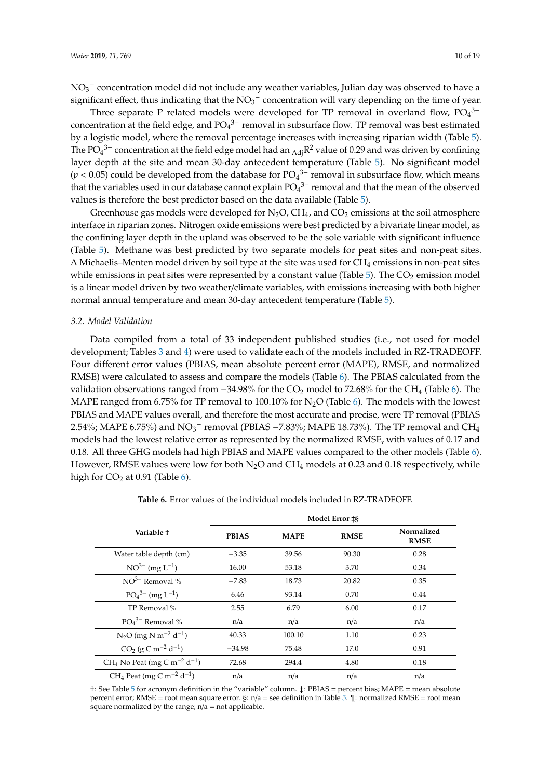Three separate P related models were developed for TP removal in overland flow,  $PO<sub>4</sub><sup>3−</sup>$ concentration at the field edge, and  $PO<sub>4</sub><sup>3−</sup>$  removal in subsurface flow. TP removal was best estimated by a logistic model, where the removal percentage increases with increasing riparian width (Table [5\)](#page-9-0). The PO<sub>4</sub><sup>3–</sup> concentration at the field edge model had an <sub>Adj</sub>R<sup>2</sup> value of 0.29 and was driven by confining layer depth at the site and mean 30-day antecedent temperature (Table [5\)](#page-9-0). No significant model  $(p < 0.05)$  could be developed from the database for  $PO<sub>4</sub><sup>3−</sup>$  removal in subsurface flow, which means that the variables used in our database cannot explain  $PO<sub>4</sub><sup>3–</sup>$  removal and that the mean of the observed values is therefore the best predictor based on the data available (Table [5\)](#page-9-0).

Greenhouse gas models were developed for  $N_2O$ ,  $CH_4$ , and  $CO_2$  emissions at the soil atmosphere interface in riparian zones. Nitrogen oxide emissions were best predicted by a bivariate linear model, as the confining layer depth in the upland was observed to be the sole variable with significant influence (Table [5\)](#page-9-0). Methane was best predicted by two separate models for peat sites and non-peat sites. A Michaelis–Menten model driven by soil type at the site was used for  $CH_4$  emissions in non-peat sites while emissions in peat sites were represented by a constant value (Table  $5$ ). The  $CO<sub>2</sub>$  emission model is a linear model driven by two weather/climate variables, with emissions increasing with both higher normal annual temperature and mean 30-day antecedent temperature (Table [5\)](#page-9-0).

#### *3.2. Model Validation*

Data compiled from a total of 33 independent published studies (i.e., not used for model development; Tables [3](#page-7-0) and [4\)](#page-7-1) were used to validate each of the models included in RZ-TRADEOFF. Four different error values (PBIAS, mean absolute percent error (MAPE), RMSE, and normalized RMSE) were calculated to assess and compare the models (Table [6\)](#page-10-0). The PBIAS calculated from the validation observations ranged from  $-34.98\%$  for the CO<sub>2</sub> model to 72.68% for the CH<sub>4</sub> (Table [6\)](#page-10-0). The MAPE ranged from 6.75% for TP removal to 100.10% for  $N<sub>2</sub>O$  (Table [6\)](#page-10-0). The models with the lowest PBIAS and MAPE values overall, and therefore the most accurate and precise, were TP removal (PBIAS 2.54%; MAPE 6.75%) and  $\rm NO_3^-$  removal (PBIAS –7.83%; MAPE 18.73%). The TP removal and CH<sub>4</sub> models had the lowest relative error as represented by the normalized RMSE, with values of 0.17 and 0.18. All three GHG models had high PBIAS and MAPE values compared to the other models (Table [6\)](#page-10-0). However, RMSE values were low for both  $N_2O$  and  $CH_4$  models at 0.23 and 0.18 respectively, while high for  $CO<sub>2</sub>$  at 0.91 (Table [6\)](#page-10-0).

<span id="page-10-0"></span>

|                                                                 | Model Error <sub>18</sub> |             |             |                           |
|-----------------------------------------------------------------|---------------------------|-------------|-------------|---------------------------|
| Variable t                                                      | <b>PBIAS</b>              | <b>MAPE</b> | <b>RMSE</b> | Normalized<br><b>RMSE</b> |
| Water table depth (cm)                                          | $-3.35$                   | 39.56       | 90.30       | 0.28                      |
| $NO^{3-}$ (mg $L^{-1}$ )                                        | 16.00                     | 53.18       | 3.70        | 0.34                      |
| $NO^{3-}$ Removal %                                             | $-7.83$                   | 18.73       | 20.82       | 0.35                      |
| $PO_4^{3-}$ (mg L <sup>-1</sup> )                               | 6.46                      | 93.14       | 0.70        | 0.44                      |
| TP Removal %                                                    | 2.55                      | 6.79        | 6.00        | 0.17                      |
| $PO43–$ Removal %                                               | n/a                       | n/a         | n/a         | n/a                       |
| $N_2O$ (mg N m <sup>-2</sup> d <sup>-1</sup> )                  | 40.33                     | 100.10      | 1.10        | 0.23                      |
| $CO2$ (g C m <sup>-2</sup> d <sup>-1</sup> )                    | $-34.98$                  | 75.48       | 17.0        | 0.91                      |
| CH <sub>4</sub> No Peat (mg C m <sup>-2</sup> d <sup>-1</sup> ) | 72.68                     | 294.4       | 4.80        | 0.18                      |
| CH <sub>4</sub> Peat (mg C m <sup>-2</sup> d <sup>-1</sup> )    | n/a                       | n/a         | n/a         | n/a                       |

**Table 6.** Error values of the individual models included in RZ-TRADEOFF.

†: See Table [5](#page-9-0) for acronym definition in the "variable" column. ‡: PBIAS = percent bias; MAPE = mean absolute percent error; RMSE = root mean square error. §: n/a = see definition in Table [5.](#page-9-0) ¶: normalized RMSE = root mean square normalized by the range;  $n/a = not$  applicable.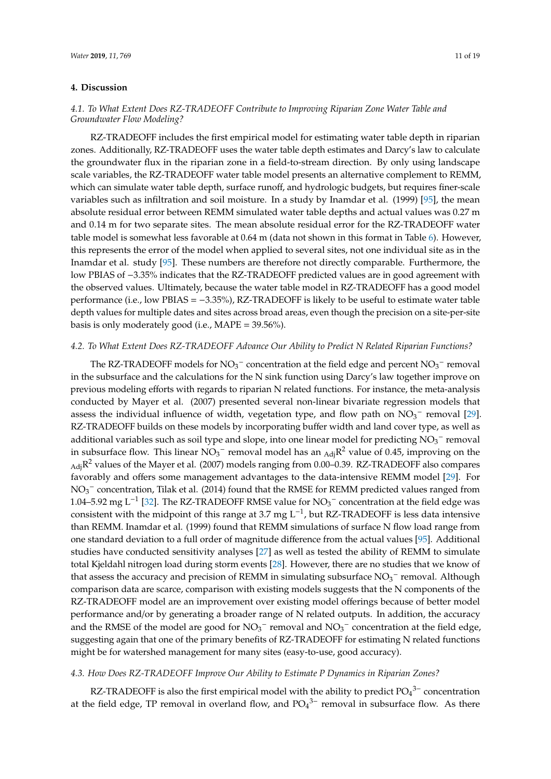#### **4. Discussion**

## *4.1. To What Extent Does RZ-TRADEOFF Contribute to Improving Riparian Zone Water Table and Groundwater Flow Modeling?*

RZ-TRADEOFF includes the first empirical model for estimating water table depth in riparian zones. Additionally, RZ-TRADEOFF uses the water table depth estimates and Darcy's law to calculate the groundwater flux in the riparian zone in a field-to-stream direction. By only using landscape scale variables, the RZ-TRADEOFF water table model presents an alternative complement to REMM, which can simulate water table depth, surface runoff, and hydrologic budgets, but requires finer-scale variables such as infiltration and soil moisture. In a study by Inamdar et al. (1999) [\[95\]](#page-18-19), the mean absolute residual error between REMM simulated water table depths and actual values was 0.27 m and 0.14 m for two separate sites. The mean absolute residual error for the RZ-TRADEOFF water table model is somewhat less favorable at 0.64 m (data not shown in this format in Table [6\)](#page-10-0). However, this represents the error of the model when applied to several sites, not one individual site as in the Inamdar et al. study [\[95\]](#page-18-19). These numbers are therefore not directly comparable. Furthermore, the low PBIAS of −3.35% indicates that the RZ-TRADEOFF predicted values are in good agreement with the observed values. Ultimately, because the water table model in RZ-TRADEOFF has a good model performance (i.e., low PBIAS = −3.35%), RZ-TRADEOFF is likely to be useful to estimate water table depth values for multiple dates and sites across broad areas, even though the precision on a site-per-site basis is only moderately good (i.e., MAPE = 39.56%).

#### *4.2. To What Extent Does RZ-TRADEOFF Advance Our Ability to Predict N Related Riparian Functions?*

The RZ-TRADEOFF models for  $NO_3^-$  concentration at the field edge and percent  $NO_3^-$  removal in the subsurface and the calculations for the N sink function using Darcy's law together improve on previous modeling efforts with regards to riparian N related functions. For instance, the meta-analysis conducted by Mayer et al. (2007) presented several non-linear bivariate regression models that assess the individual influence of width, vegetation type, and flow path on  $NO<sub>3</sub><sup>-</sup>$  removal [\[29\]](#page-15-20). RZ-TRADEOFF builds on these models by incorporating buffer width and land cover type, as well as additional variables such as soil type and slope, into one linear model for predicting  $\overline{\rm NO_3}^-$  removal in subsurface flow. This linear  $\overline{NO_3}^-$  removal model has an  $_{\rm Adj}R^2$  value of 0.45, improving on the  $_{\rm Adj}$ R $^2$  values of the Mayer et al. (2007) models ranging from 0.00–0.39. RZ-TRADEOFF also compares favorably and offers some management advantages to the data-intensive REMM model [\[29\]](#page-15-20). For  $NO<sub>3</sub><sup>-</sup>$  concentration, Tilak et al. (2014) found that the RMSE for REMM predicted values ranged from 1.04–5.92 mg L<sup>-1</sup> [\[32\]](#page-16-2). The RZ-TRADEOFF RMSE value for NO<sub>3</sub><sup>-</sup> concentration at the field edge was consistent with the midpoint of this range at 3.7 mg  $L^{-1}$ , but RZ-TRADEOFF is less data intensive than REMM. Inamdar et al. (1999) found that REMM simulations of surface N flow load range from one standard deviation to a full order of magnitude difference from the actual values [\[95\]](#page-18-19). Additional studies have conducted sensitivity analyses [\[27\]](#page-15-18) as well as tested the ability of REMM to simulate total Kjeldahl nitrogen load during storm events [\[28\]](#page-15-19). However, there are no studies that we know of that assess the accuracy and precision of REMM in simulating subsurface  $NO<sub>3</sub><sup>-</sup>$  removal. Although comparison data are scarce, comparison with existing models suggests that the N components of the RZ-TRADEOFF model are an improvement over existing model offerings because of better model performance and/or by generating a broader range of N related outputs. In addition, the accuracy and the RMSE of the model are good for  $NO<sub>3</sub><sup>-</sup>$  removal and  $NO<sub>3</sub><sup>-</sup>$  concentration at the field edge, suggesting again that one of the primary benefits of RZ-TRADEOFF for estimating N related functions might be for watershed management for many sites (easy-to-use, good accuracy).

### *4.3. How Does RZ-TRADEOFF Improve Our Ability to Estimate P Dynamics in Riparian Zones?*

RZ-TRADEOFF is also the first empirical model with the ability to predict  $PO<sub>4</sub><sup>3-</sup>$  concentration at the field edge, TP removal in overland flow, and  $PO<sub>4</sub><sup>3-</sup>$  removal in subsurface flow. As there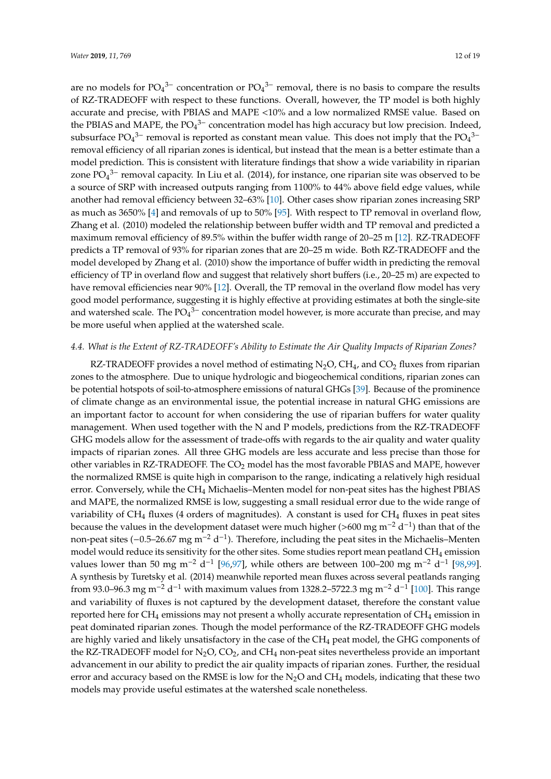are no models for  $PO_4^3$ <sup>-</sup> concentration or  $PO_4^3$ <sup>-</sup> removal, there is no basis to compare the results of RZ-TRADEOFF with respect to these functions. Overall, however, the TP model is both highly accurate and precise, with PBIAS and MAPE <10% and a low normalized RMSE value. Based on the PBIAS and MAPE, the  $PO_4^{3-}$  concentration model has high accuracy but low precision. Indeed, subsurface  $PO_4^{3-}$  removal is reported as constant mean value. This does not imply that the  $PO_4^{3-}$ removal efficiency of all riparian zones is identical, but instead that the mean is a better estimate than a model prediction. This is consistent with literature findings that show a wide variability in riparian zone  $\overline{PO_4}^{3-}$  removal capacity. In Liu et al. (2014), for instance, one riparian site was observed to be a source of SRP with increased outputs ranging from 1100% to 44% above field edge values, while another had removal efficiency between 32–63% [\[10\]](#page-15-3). Other cases show riparian zones increasing SRP as much as 3650% [\[4\]](#page-14-5) and removals of up to 50% [\[95\]](#page-18-19). With respect to TP removal in overland flow, Zhang et al. (2010) modeled the relationship between buffer width and TP removal and predicted a maximum removal efficiency of 89.5% within the buffer width range of 20–25 m [\[12\]](#page-15-5). RZ-TRADEOFF predicts a TP removal of 93% for riparian zones that are 20–25 m wide. Both RZ-TRADEOFF and the model developed by Zhang et al. (2010) show the importance of buffer width in predicting the removal efficiency of TP in overland flow and suggest that relatively short buffers (i.e., 20–25 m) are expected to have removal efficiencies near 90% [\[12\]](#page-15-5). Overall, the TP removal in the overland flow model has very good model performance, suggesting it is highly effective at providing estimates at both the single-site and watershed scale. The  $PO_4^{3-}$  concentration model however, is more accurate than precise, and may be more useful when applied at the watershed scale.

#### *4.4. What is the Extent of RZ-TRADEOFF's Ability to Estimate the Air Quality Impacts of Riparian Zones?*

RZ-TRADEOFF provides a novel method of estimating  $N_2O$ , CH<sub>4</sub>, and CO<sub>2</sub> fluxes from riparian zones to the atmosphere. Due to unique hydrologic and biogeochemical conditions, riparian zones can be potential hotspots of soil-to-atmosphere emissions of natural GHGs [\[39\]](#page-16-9). Because of the prominence of climate change as an environmental issue, the potential increase in natural GHG emissions are an important factor to account for when considering the use of riparian buffers for water quality management. When used together with the N and P models, predictions from the RZ-TRADEOFF GHG models allow for the assessment of trade-offs with regards to the air quality and water quality impacts of riparian zones. All three GHG models are less accurate and less precise than those for other variables in RZ-TRADEOFF. The CO<sub>2</sub> model has the most favorable PBIAS and MAPE, however the normalized RMSE is quite high in comparison to the range, indicating a relatively high residual error. Conversely, while the CH<sub>4</sub> Michaelis-Menten model for non-peat sites has the highest PBIAS and MAPE, the normalized RMSE is low, suggesting a small residual error due to the wide range of variability of  $CH_4$  fluxes (4 orders of magnitudes). A constant is used for  $CH_4$  fluxes in peat sites because the values in the development dataset were much higher (>600 mg m<sup>-2</sup> d<sup>-1</sup>) than that of the non-peat sites (-0.5–26.67 mg m<sup>-2</sup> d<sup>-1</sup>). Therefore, including the peat sites in the Michaelis–Menten model would reduce its sensitivity for the other sites. Some studies report mean peatland  $CH_4$  emission values lower than 50 mg m<sup>-2</sup> d<sup>-1</sup> [\[96,](#page-18-20)[97\]](#page-18-21), while others are between 100–200 mg m<sup>-2</sup> d<sup>-1</sup> [\[98,](#page-18-22)[99\]](#page-18-23). A synthesis by Turetsky et al. (2014) meanwhile reported mean fluxes across several peatlands ranging from 93.0–96.3 mg m<sup>-2</sup> d<sup>-1</sup> with maximum values from 1328.2–5722.3 mg m<sup>-2</sup> d<sup>-1</sup> [\[100\]](#page-18-24). This range and variability of fluxes is not captured by the development dataset, therefore the constant value reported here for  $CH_4$  emissions may not present a wholly accurate representation of  $CH_4$  emission in peat dominated riparian zones. Though the model performance of the RZ-TRADEOFF GHG models are highly varied and likely unsatisfactory in the case of the CH<sub>4</sub> peat model, the GHG components of the RZ-TRADEOFF model for  $N_2O$ ,  $CO_2$ , and  $CH_4$  non-peat sites nevertheless provide an important advancement in our ability to predict the air quality impacts of riparian zones. Further, the residual error and accuracy based on the RMSE is low for the  $N<sub>2</sub>O$  and CH<sub>4</sub> models, indicating that these two models may provide useful estimates at the watershed scale nonetheless.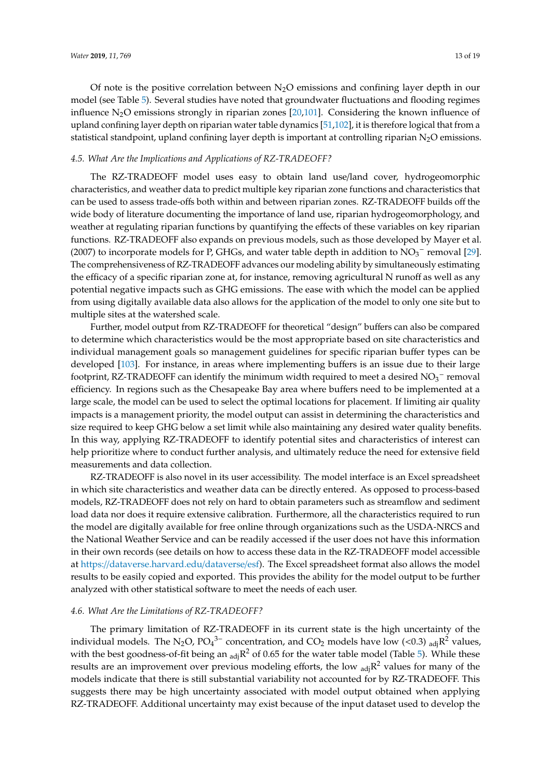Of note is the positive correlation between  $N_2O$  emissions and confining layer depth in our model (see Table [5\)](#page-9-0). Several studies have noted that groundwater fluctuations and flooding regimes influence  $N_2O$  emissions strongly in riparian zones [\[20](#page-15-11)[,101\]](#page-19-0). Considering the known influence of upland confining layer depth on riparian water table dynamics [\[51,](#page-16-21)[102\]](#page-19-1), it is therefore logical that from a statistical standpoint, upland confining layer depth is important at controlling riparian N<sub>2</sub>O emissions.

#### *4.5. What Are the Implications and Applications of RZ-TRADEOFF?*

The RZ-TRADEOFF model uses easy to obtain land use/land cover, hydrogeomorphic characteristics, and weather data to predict multiple key riparian zone functions and characteristics that can be used to assess trade-offs both within and between riparian zones. RZ-TRADEOFF builds off the wide body of literature documenting the importance of land use, riparian hydrogeomorphology, and weather at regulating riparian functions by quantifying the effects of these variables on key riparian functions. RZ-TRADEOFF also expands on previous models, such as those developed by Mayer et al. (2007) to incorporate models for P, GHGs, and water table depth in addition to  $\overline{NO_3}^-$  removal [\[29\]](#page-15-20). The comprehensiveness of RZ-TRADEOFF advances our modeling ability by simultaneously estimating the efficacy of a specific riparian zone at, for instance, removing agricultural N runoff as well as any potential negative impacts such as GHG emissions. The ease with which the model can be applied from using digitally available data also allows for the application of the model to only one site but to multiple sites at the watershed scale.

Further, model output from RZ-TRADEOFF for theoretical "design" buffers can also be compared to determine which characteristics would be the most appropriate based on site characteristics and individual management goals so management guidelines for specific riparian buffer types can be developed [\[103\]](#page-19-2). For instance, in areas where implementing buffers is an issue due to their large footprint, RZ-TRADEOFF can identify the minimum width required to meet a desired  $NO<sub>3</sub><sup>-</sup>$  removal efficiency. In regions such as the Chesapeake Bay area where buffers need to be implemented at a large scale, the model can be used to select the optimal locations for placement. If limiting air quality impacts is a management priority, the model output can assist in determining the characteristics and size required to keep GHG below a set limit while also maintaining any desired water quality benefits. In this way, applying RZ-TRADEOFF to identify potential sites and characteristics of interest can help prioritize where to conduct further analysis, and ultimately reduce the need for extensive field measurements and data collection.

RZ-TRADEOFF is also novel in its user accessibility. The model interface is an Excel spreadsheet in which site characteristics and weather data can be directly entered. As opposed to process-based models, RZ-TRADEOFF does not rely on hard to obtain parameters such as streamflow and sediment load data nor does it require extensive calibration. Furthermore, all the characteristics required to run the model are digitally available for free online through organizations such as the USDA-NRCS and the National Weather Service and can be readily accessed if the user does not have this information in their own records (see details on how to access these data in the RZ-TRADEOFF model accessible at https://[dataverse.harvard.edu](https://dataverse.harvard.edu/dataverse/esf)/dataverse/esf). The Excel spreadsheet format also allows the model results to be easily copied and exported. This provides the ability for the model output to be further analyzed with other statistical software to meet the needs of each user.

#### *4.6. What Are the Limitations of RZ-TRADEOFF?*

The primary limitation of RZ-TRADEOFF in its current state is the high uncertainty of the individual models. The N<sub>2</sub>O, PO<sub>4</sub><sup>3-</sup> concentration, and CO<sub>2</sub> models have low (<0.3) <sub>adj</sub>R<sup>2</sup> values, with the best goodness-of-fit being an  $_{adj}R^2$  of 0.65 for the water table model (Table [5\)](#page-9-0). While these results are an improvement over previous modeling efforts, the low  $_{adj}R^2$  values for many of the models indicate that there is still substantial variability not accounted for by RZ-TRADEOFF. This suggests there may be high uncertainty associated with model output obtained when applying RZ-TRADEOFF. Additional uncertainty may exist because of the input dataset used to develop the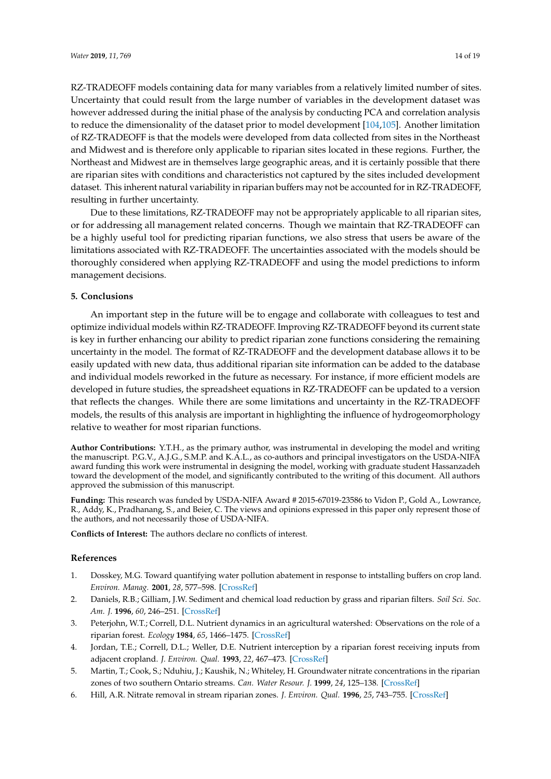RZ-TRADEOFF models containing data for many variables from a relatively limited number of sites. Uncertainty that could result from the large number of variables in the development dataset was however addressed during the initial phase of the analysis by conducting PCA and correlation analysis to reduce the dimensionality of the dataset prior to model development [\[104,](#page-19-3)[105\]](#page-19-4). Another limitation of RZ-TRADEOFF is that the models were developed from data collected from sites in the Northeast and Midwest and is therefore only applicable to riparian sites located in these regions. Further, the Northeast and Midwest are in themselves large geographic areas, and it is certainly possible that there are riparian sites with conditions and characteristics not captured by the sites included development dataset. This inherent natural variability in riparian buffers may not be accounted for in RZ-TRADEOFF, resulting in further uncertainty.

Due to these limitations, RZ-TRADEOFF may not be appropriately applicable to all riparian sites, or for addressing all management related concerns. Though we maintain that RZ-TRADEOFF can be a highly useful tool for predicting riparian functions, we also stress that users be aware of the limitations associated with RZ-TRADEOFF. The uncertainties associated with the models should be thoroughly considered when applying RZ-TRADEOFF and using the model predictions to inform management decisions.

#### **5. Conclusions**

An important step in the future will be to engage and collaborate with colleagues to test and optimize individual models within RZ-TRADEOFF. Improving RZ-TRADEOFF beyond its current state is key in further enhancing our ability to predict riparian zone functions considering the remaining uncertainty in the model. The format of RZ-TRADEOFF and the development database allows it to be easily updated with new data, thus additional riparian site information can be added to the database and individual models reworked in the future as necessary. For instance, if more efficient models are developed in future studies, the spreadsheet equations in RZ-TRADEOFF can be updated to a version that reflects the changes. While there are some limitations and uncertainty in the RZ-TRADEOFF models, the results of this analysis are important in highlighting the influence of hydrogeomorphology relative to weather for most riparian functions.

**Author Contributions:** Y.T.H., as the primary author, was instrumental in developing the model and writing the manuscript. P.G.V., A.J.G., S.M.P. and K.A.L., as co-authors and principal investigators on the USDA-NIFA award funding this work were instrumental in designing the model, working with graduate student Hassanzadeh toward the development of the model, and significantly contributed to the writing of this document. All authors approved the submission of this manuscript.

**Funding:** This research was funded by USDA-NIFA Award # 2015-67019-23586 to Vidon P., Gold A., Lowrance, R., Addy, K., Pradhanang, S., and Beier, C. The views and opinions expressed in this paper only represent those of the authors, and not necessarily those of USDA-NIFA.

**Conflicts of Interest:** The authors declare no conflicts of interest.

#### **References**

- <span id="page-14-0"></span>1. Dosskey, M.G. Toward quantifying water pollution abatement in response to intstalling buffers on crop land. *Environ. Manag.* **2001**, *28*, 577–598. [\[CrossRef\]](http://dx.doi.org/10.1007/s002670010245)
- <span id="page-14-1"></span>2. Daniels, R.B.; Gilliam, J.W. Sediment and chemical load reduction by grass and riparian filters. *Soil Sci. Soc. Am. J.* **1996**, *60*, 246–251. [\[CrossRef\]](http://dx.doi.org/10.2136/sssaj1996.03615995006000010037x)
- <span id="page-14-2"></span>3. Peterjohn, W.T.; Correll, D.L. Nutrient dynamics in an agricultural watershed: Observations on the role of a riparian forest. *Ecology* **1984**, *65*, 1466–1475. [\[CrossRef\]](http://dx.doi.org/10.2307/1939127)
- <span id="page-14-5"></span>4. Jordan, T.E.; Correll, D.L.; Weller, D.E. Nutrient interception by a riparian forest receiving inputs from adjacent cropland. *J. Environ. Qual.* **1993**, *22*, 467–473. [\[CrossRef\]](http://dx.doi.org/10.2134/jeq1993.00472425002200030010x)
- <span id="page-14-3"></span>5. Martin, T.; Cook, S.; Nduhiu, J.; Kaushik, N.; Whiteley, H. Groundwater nitrate concentrations in the riparian zones of two southern Ontario streams. *Can. Water Resour. J.* **1999**, *24*, 125–138. [\[CrossRef\]](http://dx.doi.org/10.4296/cwrj2402125)
- <span id="page-14-4"></span>6. Hill, A.R. Nitrate removal in stream riparian zones. *J. Environ. Qual.* **1996**, *25*, 743–755. [\[CrossRef\]](http://dx.doi.org/10.2134/jeq1996.00472425002500040014x)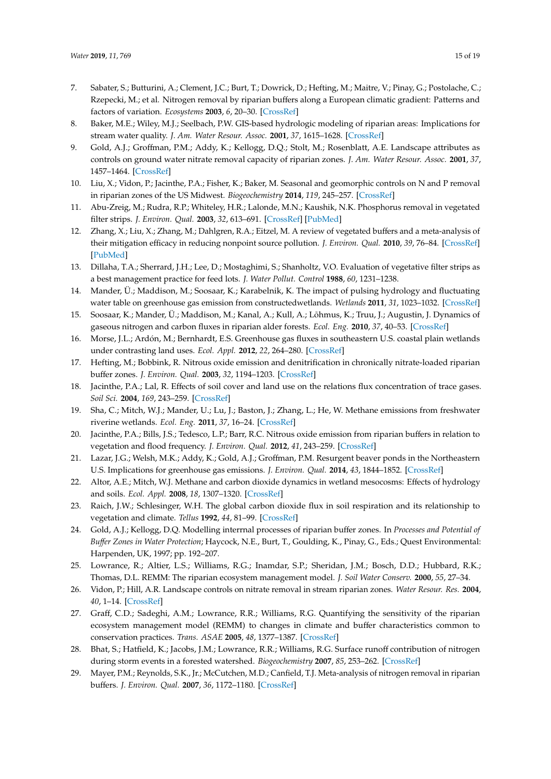- <span id="page-15-0"></span>7. Sabater, S.; Butturini, A.; Clement, J.C.; Burt, T.; Dowrick, D.; Hefting, M.; Maitre, V.; Pinay, G.; Postolache, C.; Rzepecki, M.; et al. Nitrogen removal by riparian buffers along a European climatic gradient: Patterns and factors of variation. *Ecosystems* **2003**, *6*, 20–30. [\[CrossRef\]](http://dx.doi.org/10.1007/s10021-002-0183-8)
- <span id="page-15-1"></span>8. Baker, M.E.; Wiley, M.J.; Seelbach, P.W. GIS-based hydrologic modeling of riparian areas: Implications for stream water quality. *J. Am. Water Resour. Assoc.* **2001**, *37*, 1615–1628. [\[CrossRef\]](http://dx.doi.org/10.1111/j.1752-1688.2001.tb03664.x)
- <span id="page-15-2"></span>9. Gold, A.J.; Groffman, P.M.; Addy, K.; Kellogg, D.Q.; Stolt, M.; Rosenblatt, A.E. Landscape attributes as controls on ground water nitrate removal capacity of riparian zones. *J. Am. Water Resour. Assoc.* **2001**, *37*, 1457–1464. [\[CrossRef\]](http://dx.doi.org/10.1111/j.1752-1688.2001.tb03652.x)
- <span id="page-15-3"></span>10. Liu, X.; Vidon, P.; Jacinthe, P.A.; Fisher, K.; Baker, M. Seasonal and geomorphic controls on N and P removal in riparian zones of the US Midwest. *Biogeochemistry* **2014**, *119*, 245–257. [\[CrossRef\]](http://dx.doi.org/10.1007/s10533-014-9963-4)
- <span id="page-15-4"></span>11. Abu-Zreig, M.; Rudra, R.P.; Whiteley, H.R.; Lalonde, M.N.; Kaushik, N.K. Phosphorus removal in vegetated filter strips. *J. Environ. Qual.* **2003**, *32*, 613–691. [\[CrossRef\]](http://dx.doi.org/10.2134/jeq2003.6130) [\[PubMed\]](http://www.ncbi.nlm.nih.gov/pubmed/12708686)
- <span id="page-15-5"></span>12. Zhang, X.; Liu, X.; Zhang, M.; Dahlgren, R.A.; Eitzel, M. A review of vegetated buffers and a meta-analysis of their mitigation efficacy in reducing nonpoint source pollution. *J. Environ. Qual.* **2010**, *39*, 76–84. [\[CrossRef\]](http://dx.doi.org/10.2134/jeq2008.0496) [\[PubMed\]](http://www.ncbi.nlm.nih.gov/pubmed/20048295)
- <span id="page-15-6"></span>13. Dillaha, T.A.; Sherrard, J.H.; Lee, D.; Mostaghimi, S.; Shanholtz, V.O. Evaluation of vegetative filter strips as a best management practice for feed lots. *J. Water Pollut. Control* **1988**, *60*, 1231–1238.
- <span id="page-15-7"></span>14. Mander, Ü.; Maddison, M.; Soosaar, K.; Karabelnik, K. The impact of pulsing hydrology and fluctuating water table on greenhouse gas emission from constructedwetlands. *Wetlands* **2011**, *31*, 1023–1032. [\[CrossRef\]](http://dx.doi.org/10.1007/s13157-011-0218-z)
- <span id="page-15-21"></span>15. Soosaar, K.; Mander, Ü.; Maddison, M.; Kanal, A.; Kull, A.; Lõhmus, K.; Truu, J.; Augustin, J. Dynamics of gaseous nitrogen and carbon fluxes in riparian alder forests. *Ecol. Eng.* **2010**, *37*, 40–53. [\[CrossRef\]](http://dx.doi.org/10.1016/j.ecoleng.2010.07.025)
- <span id="page-15-8"></span>16. Morse, J.L.; Ardón, M.; Bernhardt, E.S. Greenhouse gas fluxes in southeastern U.S. coastal plain wetlands under contrasting land uses. *Ecol. Appl.* **2012**, *22*, 264–280. [\[CrossRef\]](http://dx.doi.org/10.1890/11-0527.1)
- <span id="page-15-9"></span>17. Hefting, M.; Bobbink, R. Nitrous oxide emission and denitrification in chronically nitrate-loaded riparian buffer zones. *J. Environ. Qual.* **2003**, *32*, 1194–1203. [\[CrossRef\]](http://dx.doi.org/10.2134/jeq2003.1194)
- 18. Jacinthe, P.A.; Lal, R. Effects of soil cover and land use on the relations flux concentration of trace gases. *Soil Sci.* **2004**, *169*, 243–259. [\[CrossRef\]](http://dx.doi.org/10.1097/01.ss.0000126839.58222.0f)
- <span id="page-15-10"></span>19. Sha, C.; Mitch, W.J.; Mander, U.; Lu, J.; Baston, J.; Zhang, L.; He, W. Methane emissions from freshwater riverine wetlands. *Ecol. Eng.* **2011**, *37*, 16–24. [\[CrossRef\]](http://dx.doi.org/10.1016/j.ecoleng.2010.07.022)
- <span id="page-15-11"></span>20. Jacinthe, P.A.; Bills, J.S.; Tedesco, L.P.; Barr, R.C. Nitrous oxide emission from riparian buffers in relation to vegetation and flood frequency. *J. Environ. Qual.* **2012**, *41*, 243–259. [\[CrossRef\]](http://dx.doi.org/10.2134/jeq2011.0308)
- <span id="page-15-12"></span>21. Lazar, J.G.; Welsh, M.K.; Addy, K.; Gold, A.J.; Groffman, P.M. Resurgent beaver ponds in the Northeastern U.S. Implications for greenhouse gas emissions. *J. Environ. Qual.* **2014**, *43*, 1844–1852. [\[CrossRef\]](http://dx.doi.org/10.2134/jeq2014.02.0065)
- <span id="page-15-13"></span>22. Altor, A.E.; Mitch, W.J. Methane and carbon dioxide dynamics in wetland mesocosms: Effects of hydrology and soils. *Ecol. Appl.* **2008**, *18*, 1307–1320. [\[CrossRef\]](http://dx.doi.org/10.1890/07-0009.1)
- <span id="page-15-14"></span>23. Raich, J.W.; Schlesinger, W.H. The global carbon dioxide flux in soil respiration and its relationship to vegetation and climate. *Tellus* **1992**, *44*, 81–99. [\[CrossRef\]](http://dx.doi.org/10.3402/tellusb.v44i2.15428)
- <span id="page-15-15"></span>24. Gold, A.J.; Kellogg, D.Q. Modelling interrnal processes of riparian buffer zones. In *Processes and Potential of Bu*ff*er Zones in Water Protection*; Haycock, N.E., Burt, T., Goulding, K., Pinay, G., Eds.; Quest Environmental: Harpenden, UK, 1997; pp. 192–207.
- <span id="page-15-17"></span>25. Lowrance, R.; Altier, L.S.; Williams, R.G.; Inamdar, S.P.; Sheridan, J.M.; Bosch, D.D.; Hubbard, R.K.; Thomas, D.L. REMM: The riparian ecosystem management model. *J. Soil Water Conserv.* **2000**, *55*, 27–34.
- <span id="page-15-16"></span>26. Vidon, P.; Hill, A.R. Landscape controls on nitrate removal in stream riparian zones. *Water Resour. Res.* **2004**, *40*, 1–14. [\[CrossRef\]](http://dx.doi.org/10.1029/2003WR002473)
- <span id="page-15-18"></span>27. Graff, C.D.; Sadeghi, A.M.; Lowrance, R.R.; Williams, R.G. Quantifying the sensitivity of the riparian ecosystem management model (REMM) to changes in climate and buffer characteristics common to conservation practices. *Trans. ASAE* **2005**, *48*, 1377–1387. [\[CrossRef\]](http://dx.doi.org/10.13031/2013.19195)
- <span id="page-15-19"></span>28. Bhat, S.; Hatfield, K.; Jacobs, J.M.; Lowrance, R.R.; Williams, R.G. Surface runoff contribution of nitrogen during storm events in a forested watershed. *Biogeochemistry* **2007**, *85*, 253–262. [\[CrossRef\]](http://dx.doi.org/10.1007/s10533-007-9131-1)
- <span id="page-15-20"></span>29. Mayer, P.M.; Reynolds, S.K., Jr.; McCutchen, M.D.; Canfield, T.J. Meta-analysis of nitrogen removal in riparian buffers. *J. Environ. Qual.* **2007**, *36*, 1172–1180. [\[CrossRef\]](http://dx.doi.org/10.2134/jeq2006.0462)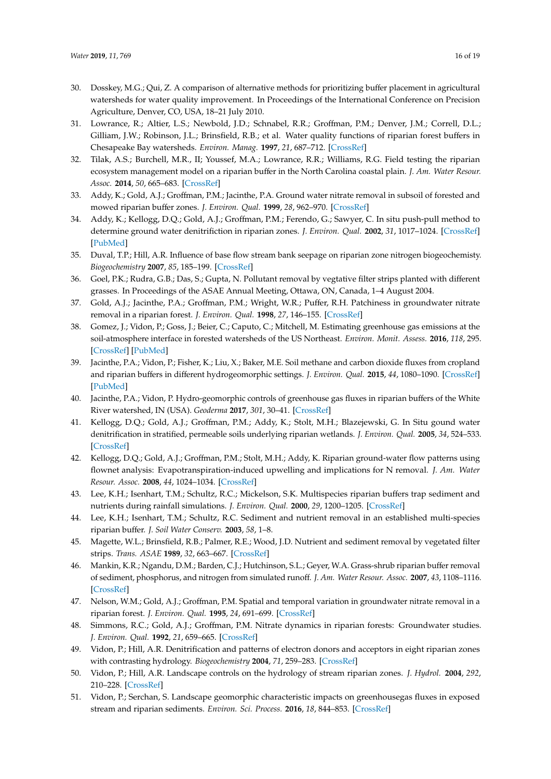- <span id="page-16-0"></span>30. Dosskey, M.G.; Qui, Z. A comparison of alternative methods for prioritizing buffer placement in agricultural watersheds for water quality improvement. In Proceedings of the International Conference on Precision Agriculture, Denver, CO, USA, 18–21 July 2010.
- <span id="page-16-1"></span>31. Lowrance, R.; Altier, L.S.; Newbold, J.D.; Schnabel, R.R.; Groffman, P.M.; Denver, J.M.; Correll, D.L.; Gilliam, J.W.; Robinson, J.L.; Brinsfield, R.B.; et al. Water quality functions of riparian forest buffers in Chesapeake Bay watersheds. *Environ. Manag.* **1997**, *21*, 687–712. [\[CrossRef\]](http://dx.doi.org/10.1007/s002679900060)
- <span id="page-16-2"></span>32. Tilak, A.S.; Burchell, M.R., II; Youssef, M.A.; Lowrance, R.R.; Williams, R.G. Field testing the riparian ecosystem management model on a riparian buffer in the North Carolina coastal plain. *J. Am. Water Resour. Assoc.* **2014**, *50*, 665–683. [\[CrossRef\]](http://dx.doi.org/10.1111/jawr.12208)
- <span id="page-16-3"></span>33. Addy, K.; Gold, A.J.; Groffman, P.M.; Jacinthe, P.A. Ground water nitrate removal in subsoil of forested and mowed riparian buffer zones. *J. Environ. Qual.* **1999**, *28*, 962–970. [\[CrossRef\]](http://dx.doi.org/10.2134/jeq1999.00472425002800030029x)
- <span id="page-16-4"></span>34. Addy, K.; Kellogg, D.Q.; Gold, A.J.; Groffman, P.M.; Ferendo, G.; Sawyer, C. In situ push-pull method to determine ground water denitrifiction in riparian zones. *J. Environ. Qual.* **2002**, *31*, 1017–1024. [\[CrossRef\]](http://dx.doi.org/10.2134/jeq2002.1017) [\[PubMed\]](http://www.ncbi.nlm.nih.gov/pubmed/12026069)
- <span id="page-16-5"></span>35. Duval, T.P.; Hill, A.R. Influence of base flow stream bank seepage on riparian zone nitrogen biogeochemisty. *Biogeochemistry* **2007**, *85*, 185–199. [\[CrossRef\]](http://dx.doi.org/10.1007/s10533-007-9128-9)
- <span id="page-16-6"></span>36. Goel, P.K.; Rudra, G.B.; Das, S.; Gupta, N. Pollutant removal by vegtative filter strips planted with different grasses. In Proceedings of the ASAE Annual Meeting, Ottawa, ON, Canada, 1–4 August 2004.
- <span id="page-16-7"></span>37. Gold, A.J.; Jacinthe, P.A.; Groffman, P.M.; Wright, W.R.; Puffer, R.H. Patchiness in groundwater nitrate removal in a riparian forest. *J. Environ. Qual.* **1998**, *27*, 146–155. [\[CrossRef\]](http://dx.doi.org/10.2134/jeq1998.00472425002700010021x)
- <span id="page-16-8"></span>38. Gomez, J.; Vidon, P.; Goss, J.; Beier, C.; Caputo, C.; Mitchell, M. Estimating greenhouse gas emissions at the soil-atmosphere interface in forested watersheds of the US Northeast. *Environ. Monit. Assess.* **2016**, *118*, 295. [\[CrossRef\]](http://dx.doi.org/10.1007/s10661-016-5297-0) [\[PubMed\]](http://www.ncbi.nlm.nih.gov/pubmed/27085717)
- <span id="page-16-9"></span>39. Jacinthe, P.A.; Vidon, P.; Fisher, K.; Liu, X.; Baker, M.E. Soil methane and carbon dioxide fluxes from cropland and riparian buffers in different hydrogeomorphic settings. *J. Environ. Qual.* **2015**, *44*, 1080–1090. [\[CrossRef\]](http://dx.doi.org/10.2134/jeq2015.01.0014) [\[PubMed\]](http://www.ncbi.nlm.nih.gov/pubmed/26437089)
- <span id="page-16-10"></span>40. Jacinthe, P.A.; Vidon, P. Hydro-geomorphic controls of greenhouse gas fluxes in riparian buffers of the White River watershed, IN (USA). *Geoderma* **2017**, *301*, 30–41. [\[CrossRef\]](http://dx.doi.org/10.1016/j.geoderma.2017.04.007)
- <span id="page-16-11"></span>41. Kellogg, D.Q.; Gold, A.J.; Groffman, P.M.; Addy, K.; Stolt, M.H.; Blazejewski, G. In Situ gound water denitrification in stratified, permeable soils underlying riparian wetlands. *J. Environ. Qual.* **2005**, *34*, 524–533. [\[CrossRef\]](http://dx.doi.org/10.2134/jeq2005.0524)
- <span id="page-16-12"></span>42. Kellogg, D.Q.; Gold, A.J.; Groffman, P.M.; Stolt, M.H.; Addy, K. Riparian ground-water flow patterns using flownet analysis: Evapotranspiration-induced upwelling and implications for N removal. *J. Am. Water Resour. Assoc.* **2008**, *44*, 1024–1034. [\[CrossRef\]](http://dx.doi.org/10.1111/j.1752-1688.2008.00218.x)
- <span id="page-16-13"></span>43. Lee, K.H.; Isenhart, T.M.; Schultz, R.C.; Mickelson, S.K. Multispecies riparian buffers trap sediment and nutrients during rainfall simulations. *J. Environ. Qual.* **2000**, *29*, 1200–1205. [\[CrossRef\]](http://dx.doi.org/10.2134/jeq2000.00472425002900040025x)
- <span id="page-16-14"></span>44. Lee, K.H.; Isenhart, T.M.; Schultz, R.C. Sediment and nutrient removal in an established multi-species riparian buffer. *J. Soil Water Conserv.* **2003**, *58*, 1–8.
- <span id="page-16-15"></span>45. Magette, W.L.; Brinsfield, R.B.; Palmer, R.E.; Wood, J.D. Nutrient and sediment removal by vegetated filter strips. *Trans. ASAE* **1989**, *32*, 663–667. [\[CrossRef\]](http://dx.doi.org/10.13031/2013.31054)
- <span id="page-16-16"></span>46. Mankin, K.R.; Ngandu, D.M.; Barden, C.J.; Hutchinson, S.L.; Geyer, W.A. Grass-shrub riparian buffer removal of sediment, phosphorus, and nitrogen from simulated runoff. *J. Am. Water Resour. Assoc.* **2007**, *43*, 1108–1116. [\[CrossRef\]](http://dx.doi.org/10.1111/j.1752-1688.2007.00090.x)
- <span id="page-16-17"></span>47. Nelson, W.M.; Gold, A.J.; Groffman, P.M. Spatial and temporal variation in groundwater nitrate removal in a riparian forest. *J. Environ. Qual.* **1995**, *24*, 691–699. [\[CrossRef\]](http://dx.doi.org/10.2134/jeq1995.00472425002400040021x)
- <span id="page-16-18"></span>48. Simmons, R.C.; Gold, A.J.; Groffman, P.M. Nitrate dynamics in riparian forests: Groundwater studies. *J. Environ. Qual.* **1992**, *21*, 659–665. [\[CrossRef\]](http://dx.doi.org/10.2134/jeq1992.00472425002100040021x)
- <span id="page-16-19"></span>49. Vidon, P.; Hill, A.R. Denitrification and patterns of electron donors and acceptors in eight riparian zones with contrasting hydrology. *Biogeochemistry* **2004**, *71*, 259–283. [\[CrossRef\]](http://dx.doi.org/10.1007/s10533-004-9684-1)
- <span id="page-16-20"></span>50. Vidon, P.; Hill, A.R. Landscape controls on the hydrology of stream riparian zones. *J. Hydrol.* **2004**, *292*, 210–228. [\[CrossRef\]](http://dx.doi.org/10.1016/j.jhydrol.2004.01.005)
- <span id="page-16-21"></span>51. Vidon, P.; Serchan, S. Landscape geomorphic characteristic impacts on greenhousegas fluxes in exposed stream and riparian sediments. *Environ. Sci. Process.* **2016**, *18*, 844–853. [\[CrossRef\]](http://dx.doi.org/10.1039/C6EM00162A)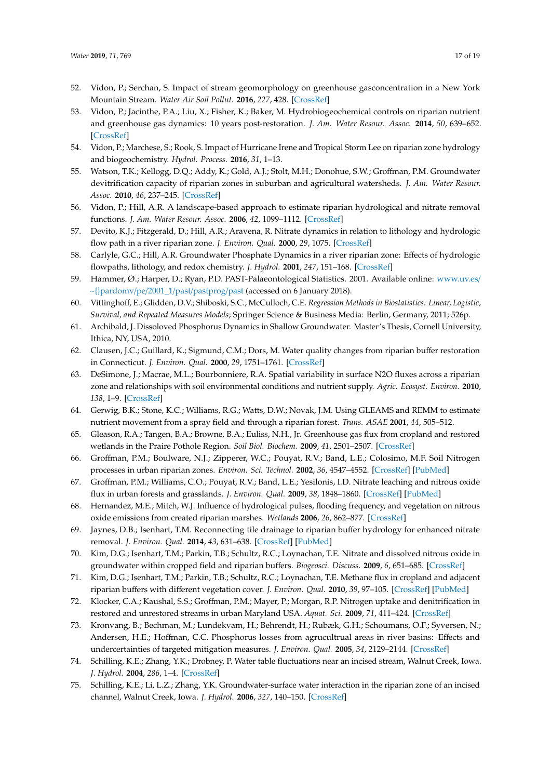- <span id="page-17-0"></span>52. Vidon, P.; Serchan, S. Impact of stream geomorphology on greenhouse gasconcentration in a New York Mountain Stream. *Water Air Soil Pollut.* **2016**, *227*, 428. [\[CrossRef\]](http://dx.doi.org/10.1007/s11270-016-3131-5)
- <span id="page-17-1"></span>53. Vidon, P.; Jacinthe, P.A.; Liu, X.; Fisher, K.; Baker, M. Hydrobiogeochemical controls on riparian nutrient and greenhouse gas dynamics: 10 years post-restoration. *J. Am. Water Resour. Assoc.* **2014**, *50*, 639–652. [\[CrossRef\]](http://dx.doi.org/10.1111/jawr.12201)
- <span id="page-17-2"></span>54. Vidon, P.; Marchese, S.; Rook, S. Impact of Hurricane Irene and Tropical Storm Lee on riparian zone hydrology and biogeochemistry. *Hydrol. Process.* **2016**, *31*, 1–13.
- <span id="page-17-3"></span>55. Watson, T.K.; Kellogg, D.Q.; Addy, K.; Gold, A.J.; Stolt, M.H.; Donohue, S.W.; Groffman, P.M. Groundwater devitrification capacity of riparian zones in suburban and agricultural watersheds. *J. Am. Water Resour. Assoc.* **2010**, *46*, 237–245. [\[CrossRef\]](http://dx.doi.org/10.1111/j.1752-1688.2010.00418.x)
- <span id="page-17-4"></span>56. Vidon, P.; Hill, A.R. A landscape-based approach to estimate riparian hydrological and nitrate removal functions. *J. Am. Water Resour. Assoc.* **2006**, *42*, 1099–1112. [\[CrossRef\]](http://dx.doi.org/10.1111/j.1752-1688.2006.tb04516.x)
- 57. Devito, K.J.; Fitzgerald, D.; Hill, A.R.; Aravena, R. Nitrate dynamics in relation to lithology and hydrologic flow path in a river riparian zone. *J. Environ. Qual.* **2000**, *29*, 1075. [\[CrossRef\]](http://dx.doi.org/10.2134/jeq2000.00472425002900040007x)
- <span id="page-17-5"></span>58. Carlyle, G.C.; Hill, A.R. Groundwater Phosphate Dynamics in a river riparian zone: Effects of hydrologic flowpaths, lithology, and redox chemistry. *J. Hydrol.* **2001**, *247*, 151–168. [\[CrossRef\]](http://dx.doi.org/10.1016/S0022-1694(01)00375-4)
- <span id="page-17-6"></span>59. Hammer, Ø.; Harper, D.; Ryan, P.D. PAST-Palaeontological Statistics. 2001. Available online: [www.uv.es](www.uv.es/~{}pardomv/pe/2001_1/past/pastprog/past)/ [~{}pardomv](www.uv.es/~{}pardomv/pe/2001_1/past/pastprog/past)/pe/2001\_1/past/pastprog/past (accessed on 6 January 2018).
- <span id="page-17-7"></span>60. Vittinghoff, E.; Glidden, D.V.; Shiboski, S.C.; McCulloch, C.E. *Regression Methods in Biostatistics: Linear, Logistic, Survival, and Repeated Measures Models*; Springer Science & Business Media: Berlin, Germany, 2011; 526p.
- <span id="page-17-8"></span>61. Archibald, J. Dissoloved Phosphorus Dynamics in Shallow Groundwater. Master's Thesis, Cornell University, Ithica, NY, USA, 2010.
- <span id="page-17-9"></span>62. Clausen, J.C.; Guillard, K.; Sigmund, C.M.; Dors, M. Water quality changes from riparian buffer restoration in Connecticut. *J. Environ. Qual.* **2000**, *29*, 1751–1761. [\[CrossRef\]](http://dx.doi.org/10.2134/jeq2000.00472425002900060004x)
- <span id="page-17-10"></span>63. DeSimone, J.; Macrae, M.L.; Bourbonniere, R.A. Spatial variability in surface N2O fluxes across a riparian zone and relationships with soil environmental conditions and nutrient supply. *Agric. Ecosyst. Environ.* **2010**, *138*, 1–9. [\[CrossRef\]](http://dx.doi.org/10.1016/j.agee.2010.03.007)
- <span id="page-17-11"></span>64. Gerwig, B.K.; Stone, K.C.; Williams, R.G.; Watts, D.W.; Novak, J.M. Using GLEAMS and REMM to estimate nutrient movement from a spray field and through a riparian forest. *Trans. ASAE* **2001**, *44*, 505–512.
- <span id="page-17-12"></span>65. Gleason, R.A.; Tangen, B.A.; Browne, B.A.; Euliss, N.H., Jr. Greenhouse gas flux from cropland and restored wetlands in the Praire Pothole Region. *Soil Biol. Biochem.* **2009**, *41*, 2501–2507. [\[CrossRef\]](http://dx.doi.org/10.1016/j.soilbio.2009.09.008)
- <span id="page-17-13"></span>66. Groffman, P.M.; Boulware, N.J.; Zipperer, W.C.; Pouyat, R.V.; Band, L.E.; Colosimo, M.F. Soil Nitrogen processes in urban riparian zones. *Environ. Sci. Technol.* **2002**, *36*, 4547–4552. [\[CrossRef\]](http://dx.doi.org/10.1021/es020649z) [\[PubMed\]](http://www.ncbi.nlm.nih.gov/pubmed/12433163)
- <span id="page-17-14"></span>67. Groffman, P.M.; Williams, C.O.; Pouyat, R.V.; Band, L.E.; Yesilonis, I.D. Nitrate leaching and nitrous oxide flux in urban forests and grasslands. *J. Environ. Qual.* **2009**, *38*, 1848–1860. [\[CrossRef\]](http://dx.doi.org/10.2134/jeq2008.0521) [\[PubMed\]](http://www.ncbi.nlm.nih.gov/pubmed/19643750)
- <span id="page-17-15"></span>68. Hernandez, M.E.; Mitch, W.J. Influence of hydrological pulses, flooding frequency, and vegetation on nitrous oxide emissions from created riparian marshes. *Wetlands* **2006**, *26*, 862–877. [\[CrossRef\]](http://dx.doi.org/10.1672/0277-5212(2006)26[862:IOHPFF]2.0.CO;2)
- <span id="page-17-16"></span>69. Jaynes, D.B.; Isenhart, T.M. Reconnecting tile drainage to riparian buffer hydrology for enhanced nitrate removal. *J. Environ. Qual.* **2014**, *43*, 631–638. [\[CrossRef\]](http://dx.doi.org/10.2134/jeq2013.08.0331) [\[PubMed\]](http://www.ncbi.nlm.nih.gov/pubmed/25602664)
- <span id="page-17-17"></span>70. Kim, D.G.; Isenhart, T.M.; Parkin, T.B.; Schultz, R.C.; Loynachan, T.E. Nitrate and dissolved nitrous oxide in groundwater within cropped field and riparian buffers. *Biogeosci. Discuss.* **2009**, *6*, 651–685. [\[CrossRef\]](http://dx.doi.org/10.5194/bgd-6-651-2009)
- <span id="page-17-18"></span>71. Kim, D.G.; Isenhart, T.M.; Parkin, T.B.; Schultz, R.C.; Loynachan, T.E. Methane flux in cropland and adjacent riparian buffers with different vegetation cover. *J. Environ. Qual.* **2010**, *39*, 97–105. [\[CrossRef\]](http://dx.doi.org/10.2134/jeq2008.0408) [\[PubMed\]](http://www.ncbi.nlm.nih.gov/pubmed/20048297)
- <span id="page-17-19"></span>72. Klocker, C.A.; Kaushal, S.S.; Groffman, P.M.; Mayer, P.; Morgan, R.P. Nitrogen uptake and denitrification in restored and unrestored streams in urban Maryland USA. *Aquat. Sci.* **2009**, *71*, 411–424. [\[CrossRef\]](http://dx.doi.org/10.1007/s00027-009-0118-y)
- <span id="page-17-20"></span>73. Kronvang, B.; Bechman, M.; Lundekvam, H.; Behrendt, H.; Rubæk, G.H.; Schoumans, O.F.; Syversen, N.; Andersen, H.E.; Hoffman, C.C. Phosphorus losses from agrucultrual areas in river basins: Effects and undercertainties of targeted mitigation measures. *J. Environ. Qual.* **2005**, *34*, 2129–2144. [\[CrossRef\]](http://dx.doi.org/10.2134/jeq2004.0439)
- <span id="page-17-21"></span>74. Schilling, K.E.; Zhang, Y.K.; Drobney, P. Water table fluctuations near an incised stream, Walnut Creek, Iowa. *J. Hydrol.* **2004**, *286*, 1–4. [\[CrossRef\]](http://dx.doi.org/10.1016/j.jhydrol.2003.09.017)
- <span id="page-17-22"></span>75. Schilling, K.E.; Li, L.Z.; Zhang, Y.K. Groundwater-surface water interaction in the riparian zone of an incised channel, Walnut Creek, Iowa. *J. Hydrol.* **2006**, *327*, 140–150. [\[CrossRef\]](http://dx.doi.org/10.1016/j.jhydrol.2005.11.014)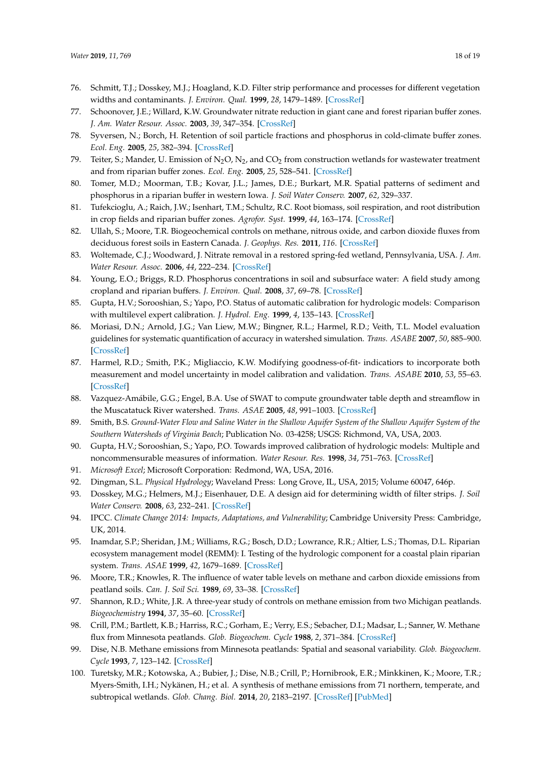- <span id="page-18-0"></span>76. Schmitt, T.J.; Dosskey, M.J.; Hoagland, K.D. Filter strip performance and processes for different vegetation widths and contaminants. *J. Environ. Qual.* **1999**, *28*, 1479–1489. [\[CrossRef\]](http://dx.doi.org/10.2134/jeq1999.00472425002800050013x)
- <span id="page-18-1"></span>77. Schoonover, J.E.; Willard, K.W. Groundwater nitrate reduction in giant cane and forest riparian buffer zones. *J. Am. Water Resour. Assoc.* **2003**, *39*, 347–354. [\[CrossRef\]](http://dx.doi.org/10.1111/j.1752-1688.2003.tb04389.x)
- <span id="page-18-2"></span>78. Syversen, N.; Borch, H. Retention of soil particle fractions and phosphorus in cold-climate buffer zones. *Ecol. Eng.* **2005**, *25*, 382–394. [\[CrossRef\]](http://dx.doi.org/10.1016/j.ecoleng.2005.06.005)
- <span id="page-18-3"></span>79. Teiter, S.; Mander, U. Emission of N<sub>2</sub>O, N<sub>2</sub>, and CO<sub>2</sub> from construction wetlands for wastewater treatment and from riparian buffer zones. *Ecol. Eng.* **2005**, *25*, 528–541. [\[CrossRef\]](http://dx.doi.org/10.1016/j.ecoleng.2005.07.011)
- <span id="page-18-4"></span>80. Tomer, M.D.; Moorman, T.B.; Kovar, J.L.; James, D.E.; Burkart, M.R. Spatial patterns of sediment and phosphorus in a riparian buffer in western Iowa. *J. Soil Water Conserv.* **2007**, *62*, 329–337.
- <span id="page-18-5"></span>81. Tufekcioglu, A.; Raich, J.W.; Isenhart, T.M.; Schultz, R.C. Root biomass, soil respiration, and root distribution in crop fields and riparian buffer zones. *Agrofor. Syst.* **1999**, *44*, 163–174. [\[CrossRef\]](http://dx.doi.org/10.1023/A:1006221921806)
- <span id="page-18-6"></span>82. Ullah, S.; Moore, T.R. Biogeochemical controls on methane, nitrous oxide, and carbon dioxide fluxes from deciduous forest soils in Eastern Canada. *J. Geophys. Res.* **2011**, *116*. [\[CrossRef\]](http://dx.doi.org/10.1029/2010JG001525)
- <span id="page-18-7"></span>83. Woltemade, C.J.; Woodward, J. Nitrate removal in a restored spring-fed wetland, Pennsylvania, USA. *J. Am. Water Resour. Assoc.* **2006**, *44*, 222–234. [\[CrossRef\]](http://dx.doi.org/10.1111/j.1752-1688.2007.00149.x)
- <span id="page-18-8"></span>84. Young, E.O.; Briggs, R.D. Phosphorus concentrations in soil and subsurface water: A field study among cropland and riparian buffers. *J. Environ. Qual.* **2008**, *37*, 69–78. [\[CrossRef\]](http://dx.doi.org/10.2134/jeq2006.0422)
- <span id="page-18-9"></span>85. Gupta, H.V.; Sorooshian, S.; Yapo, P.O. Status of automatic calibration for hydrologic models: Comparison with multilevel expert calibration. *J. Hydrol. Eng.* **1999**, *4*, 135–143. [\[CrossRef\]](http://dx.doi.org/10.1061/(ASCE)1084-0699(1999)4:2(135))
- <span id="page-18-13"></span>86. Moriasi, D.N.; Arnold, J.G.; Van Liew, M.W.; Bingner, R.L.; Harmel, R.D.; Veith, T.L. Model evaluation guidelines for systematic quantification of accuracy in watershed simulation. *Trans. ASABE* **2007**, *50*, 885–900. [\[CrossRef\]](http://dx.doi.org/10.13031/2013.23153)
- <span id="page-18-10"></span>87. Harmel, R.D.; Smith, P.K.; Migliaccio, K.W. Modifying goodness-of-fit- indicatiors to incorporate both measurement and model uncertainty in model calibration and validation. *Trans. ASABE* **2010**, *53*, 55–63. [\[CrossRef\]](http://dx.doi.org/10.13031/2013.29502)
- <span id="page-18-11"></span>88. Vazquez-Amábile, G.G.; Engel, B.A. Use of SWAT to compute groundwater table depth and streamflow in the Muscatatuck River watershed. *Trans. ASAE* **2005**, *48*, 991–1003. [\[CrossRef\]](http://dx.doi.org/10.13031/2013.18511)
- <span id="page-18-12"></span>89. Smith, B.S. *Ground-Water Flow and Saline Water in the Shallow Aquifer System of the Shallow Aquifer System of the Southern Watersheds of Virginia Beach*; Publication No. 03-4258; USGS: Richmond, VA, USA, 2003.
- <span id="page-18-14"></span>90. Gupta, H.V.; Sorooshian, S.; Yapo, P.O. Towards improved calibration of hydrologic models: Multiple and noncommensurable measures of information. *Water Resour. Res.* **1998**, *34*, 751–763. [\[CrossRef\]](http://dx.doi.org/10.1029/97WR03495)
- <span id="page-18-15"></span>91. *Microsoft Excel*; Microsoft Corporation: Redmond, WA, USA, 2016.
- <span id="page-18-16"></span>92. Dingman, S.L. *Physical Hydrology*; Waveland Press: Long Grove, IL, USA, 2015; Volume 60047, 646p.
- <span id="page-18-17"></span>93. Dosskey, M.G.; Helmers, M.J.; Eisenhauer, D.E. A design aid for determining width of filter strips. *J. Soil Water Conserv.* **2008**, *63*, 232–241. [\[CrossRef\]](http://dx.doi.org/10.2489/jswc.63.4.232)
- <span id="page-18-18"></span>94. IPCC. *Climate Change 2014: Impacts, Adaptations, and Vulnerability*; Cambridge University Press: Cambridge, UK, 2014.
- <span id="page-18-19"></span>95. Inamdar, S.P.; Sheridan, J.M.; Williams, R.G.; Bosch, D.D.; Lowrance, R.R.; Altier, L.S.; Thomas, D.L. Riparian ecosystem management model (REMM): I. Testing of the hydrologic component for a coastal plain riparian system. *Trans. ASAE* **1999**, *42*, 1679–1689. [\[CrossRef\]](http://dx.doi.org/10.13031/2013.13332)
- <span id="page-18-20"></span>96. Moore, T.R.; Knowles, R. The influence of water table levels on methane and carbon dioxide emissions from peatland soils. *Can. J. Soil Sci.* **1989**, *69*, 33–38. [\[CrossRef\]](http://dx.doi.org/10.4141/cjss89-004)
- <span id="page-18-21"></span>97. Shannon, R.D.; White, J.R. A three-year study of controls on methane emission from two Michigan peatlands. *Biogeochemistry* **1994**, *37*, 35–60. [\[CrossRef\]](http://dx.doi.org/10.1007/BF00002570)
- <span id="page-18-22"></span>98. Crill, P.M.; Bartlett, K.B.; Harriss, R.C.; Gorham, E.; Verry, E.S.; Sebacher, D.I.; Madsar, L.; Sanner, W. Methane flux from Minnesota peatlands. *Glob. Biogeochem. Cycle* **1988**, *2*, 371–384. [\[CrossRef\]](http://dx.doi.org/10.1029/GB002i004p00371)
- <span id="page-18-23"></span>99. Dise, N.B. Methane emissions from Minnesota peatlands: Spatial and seasonal variability. *Glob. Biogeochem. Cycle* **1993**, *7*, 123–142. [\[CrossRef\]](http://dx.doi.org/10.1029/92GB02299)
- <span id="page-18-24"></span>100. Turetsky, M.R.; Kotowska, A.; Bubier, J.; Dise, N.B.; Crill, P.; Hornibrook, E.R.; Minkkinen, K.; Moore, T.R.; Myers-Smith, I.H.; Nykänen, H.; et al. A synthesis of methane emissions from 71 northern, temperate, and subtropical wetlands. *Glob. Chang. Biol.* **2014**, *20*, 2183–2197. [\[CrossRef\]](http://dx.doi.org/10.1111/gcb.12580) [\[PubMed\]](http://www.ncbi.nlm.nih.gov/pubmed/24777536)